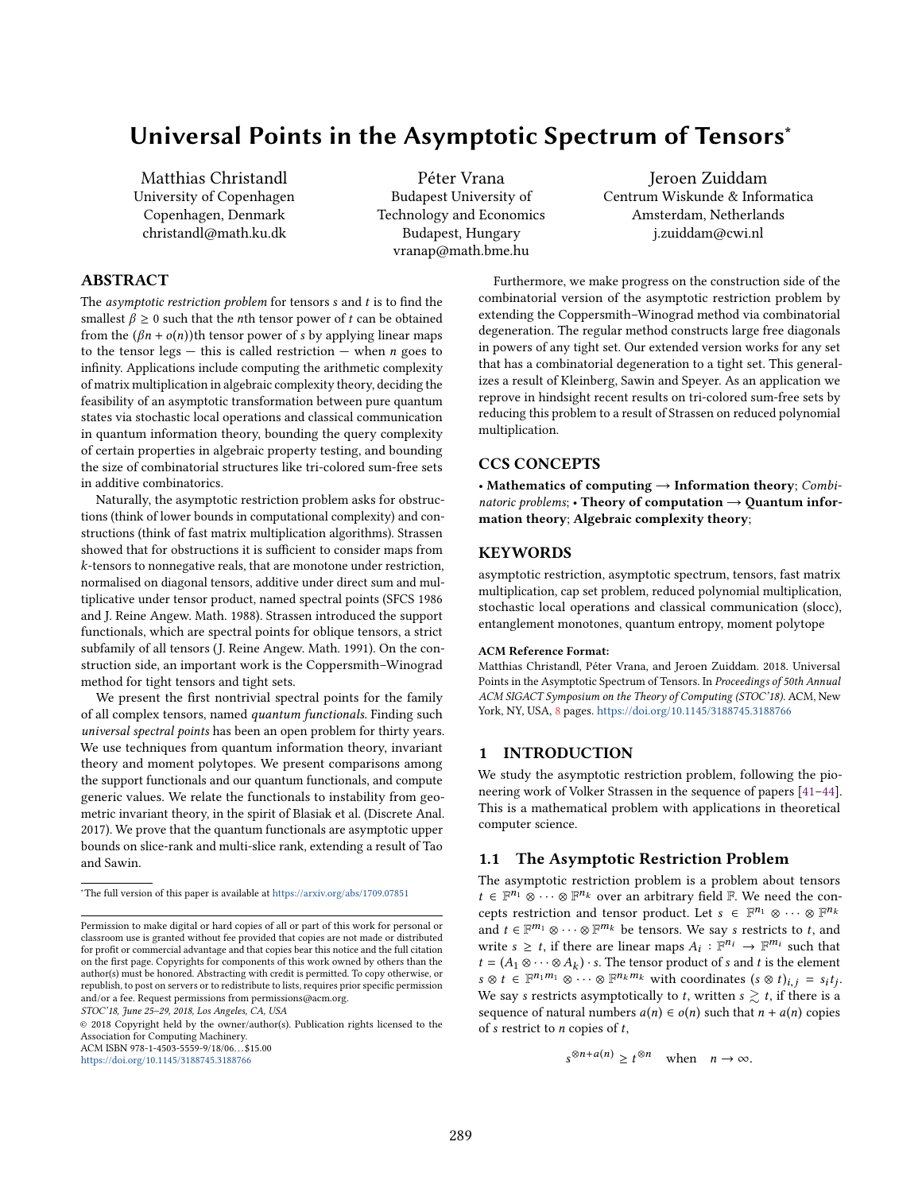# Universal Points in the Asymptotic Spectrum of Tensors<sup>∗</sup>

Matthias Christandl University of Copenhagen Copenhagen, Denmark christandl@math.ku.dk

Péter Vrana Budapest University of Technology and Economics Budapest, Hungary vranap@math.bme.hu

## Jeroen Zuiddam Centrum Wiskunde & Informatica Amsterdam, Netherlands j.zuiddam@cwi.nl

## ABSTRACT

The *asymptotic restriction problem* for tensors  $s$  and  $t$  is to find the smallest  $\beta \geq 0$  such that the *n*th tensor power of t can be obtained from the  $(\beta n + o(n))$ th tensor power of s by applying linear maps to the tensor legs — this is called restriction — when *n* goes to infinity. Applications include computing the arithmetic complexity of matrix multiplication in algebraic complexity theory, deciding the feasibility of an asymptotic transformation between pure quantum states via stochastic local operations and classical communication in quantum information theory, bounding the query complexity of certain properties in algebraic property testing, and bounding the size of combinatorial structures like tri-colored sum-free sets in additive combinatorics.

Naturally, the asymptotic restriction problem asks for obstructions (think of lower bounds in computational complexity) and constructions (think of fast matrix multiplication algorithms). Strassen showed that for obstructions it is sufficient to consider maps from k-tensors to nonnegative reals, that are monotone under restriction, normalised on diagonal tensors, additive under direct sum and multiplicative under tensor product, named spectral points (SFCS 1986 and J. Reine Angew. Math. 1988). Strassen introduced the support functionals, which are spectral points for oblique tensors, a strict subfamily of all tensors (J. Reine Angew. Math. 1991). On the construction side, an important work is the Coppersmith–Winograd method for tight tensors and tight sets.

We present the first nontrivial spectral points for the family of all complex tensors, named quantum functionals. Finding such universal spectral points has been an open problem for thirty years. We use techniques from quantum information theory, invariant theory and moment polytopes. We present comparisons among the support functionals and our quantum functionals, and compute generic values. We relate the functionals to instability from geometric invariant theory, in the spirit of Blasiak et al. (Discrete Anal. 2017). We prove that the quantum functionals are asymptotic upper bounds on slice-rank and multi-slice rank, extending a result of Tao and Sawin.

<sup>∗</sup>The full version of this paper is available at <https://arxiv.org/abs/1709.07851>

Permission to make digital or hard copies of all or part of this work for personal or classroom use is granted without fee provided that copies are not made or distributed for profit or commercial advantage and that copies bear this notice and the full citation on the first page. Copyrights for components of this work owned by others than the author(s) must be honored. Abstracting with credit is permitted. To copy otherwise, or republish, to post on servers or to redistribute to lists, requires prior specific permission and/or a fee. Request permissions from permissions@acm.org.

STOC'18, June 25–29, 2018, Los Angeles, CA, USA

© 2018 Copyright held by the owner/author(s). Publication rights licensed to the Association for Computing Machinery.

ACM ISBN 978-1-4503-5559-9/18/06...\$15.00 <https://doi.org/10.1145/3188745.3188766>

Furthermore, we make progress on the construction side of the combinatorial version of the asymptotic restriction problem by extending the Coppersmith–Winograd method via combinatorial degeneration. The regular method constructs large free diagonals in powers of any tight set. Our extended version works for any set that has a combinatorial degeneration to a tight set. This generalizes a result of Kleinberg, Sawin and Speyer. As an application we reprove in hindsight recent results on tri-colored sum-free sets by reducing this problem to a result of Strassen on reduced polynomial multiplication.

## CCS CONCEPTS

• Mathematics of computing  $\rightarrow$  Information theory; Combinatoric problems; • Theory of computation  $\rightarrow$  Quantum information theory; Algebraic complexity theory;

## **KEYWORDS**

asymptotic restriction, asymptotic spectrum, tensors, fast matrix multiplication, cap set problem, reduced polynomial multiplication, stochastic local operations and classical communication (slocc), entanglement monotones, quantum entropy, moment polytope

#### ACM Reference Format:

Matthias Christandl, Péter Vrana, and Jeroen Zuiddam. 2018. Universal Points in the Asymptotic Spectrum of Tensors. In Proceedings of 50th Annual ACM SIGACT Symposium on the Theory of Computing (STOC'18). ACM, New York, NY, USA, [8](#page-7-0) pages. <https://doi.org/10.1145/3188745.3188766>

## 1 INTRODUCTION

We study the asymptotic restriction problem, following the pioneering work of Volker Strassen in the sequence of papers [\[41](#page-7-1)[–44\]](#page-7-2). This is a mathematical problem with applications in theoretical computer science.

## 1.1 The Asymptotic Restriction Problem

The asymptotic restriction problem is a problem about tensors  $t \in \mathbb{F}^{n_1} \otimes \cdots \otimes \mathbb{F}^{n_k}$  over an arbitrary field F. We need the con-<br>cents restriction and tensor product Let  $s \in \mathbb{F}^{n_1} \otimes \cdots \otimes \mathbb{F}^{n_k}$ cepts restriction and tensor product. Let  $s \in \mathbb{F}^{n_1} \otimes \cdots \otimes \mathbb{F}^{n_k}$ <br>and  $t \in \mathbb{F}^{m_1} \otimes \cdots \otimes \mathbb{F}^{m_k}$  be tensors. We say a restricts to t and and  $t \in \mathbb{F}^{m_1} \otimes \cdots \otimes \mathbb{F}^{m_k}$  be tensors. We say s restricts to t, and  $t \in \mathbb{F}^{m_1} \otimes \cdots \otimes t$  if there are linear maps  $A_i : \mathbb{F}^{m_i} \to \mathbb{F}^{m_i}$  such that write  $s \geq t$ , if there are linear maps  $A_i : \mathbb{F}^{n_i} \to \mathbb{F}^{m_i}$  such that  $t = (A \otimes \ldots \otimes A)$ , i. The tensor product of s and t is the element  $t = (A_1 \otimes \cdots \otimes A_k) \cdot s$ . The tensor product of s and t is the element  $s \otimes t \in \mathbb{F}^{n_1 m_1} \otimes \cdots \otimes \mathbb{F}^{n_k m_k}$  with coordinates  $(s \otimes t) \cdot \cdots = s \cdot t$ .  $s \otimes t \in \mathbb{F}^{n_1 m_1} \otimes \cdots \otimes \mathbb{F}^{n_k m_k}$  with coordinates  $(s \otimes t)_{i,j} = s_i t_j$ .<br>We say s restricts asymptotically to t, written  $s \geq t$  if there is a We say s restricts asymptotically to t, written  $s \gtrsim t$ , if there is a sequence of natural numbers  $a(n) \in o(n)$  such that  $n + a(n)$  copies of s restrict to  $n$  copies of  $t$ ,

$$
s^{\otimes n + a(n)} \ge t^{\otimes n} \quad \text{when} \quad n \to \infty.
$$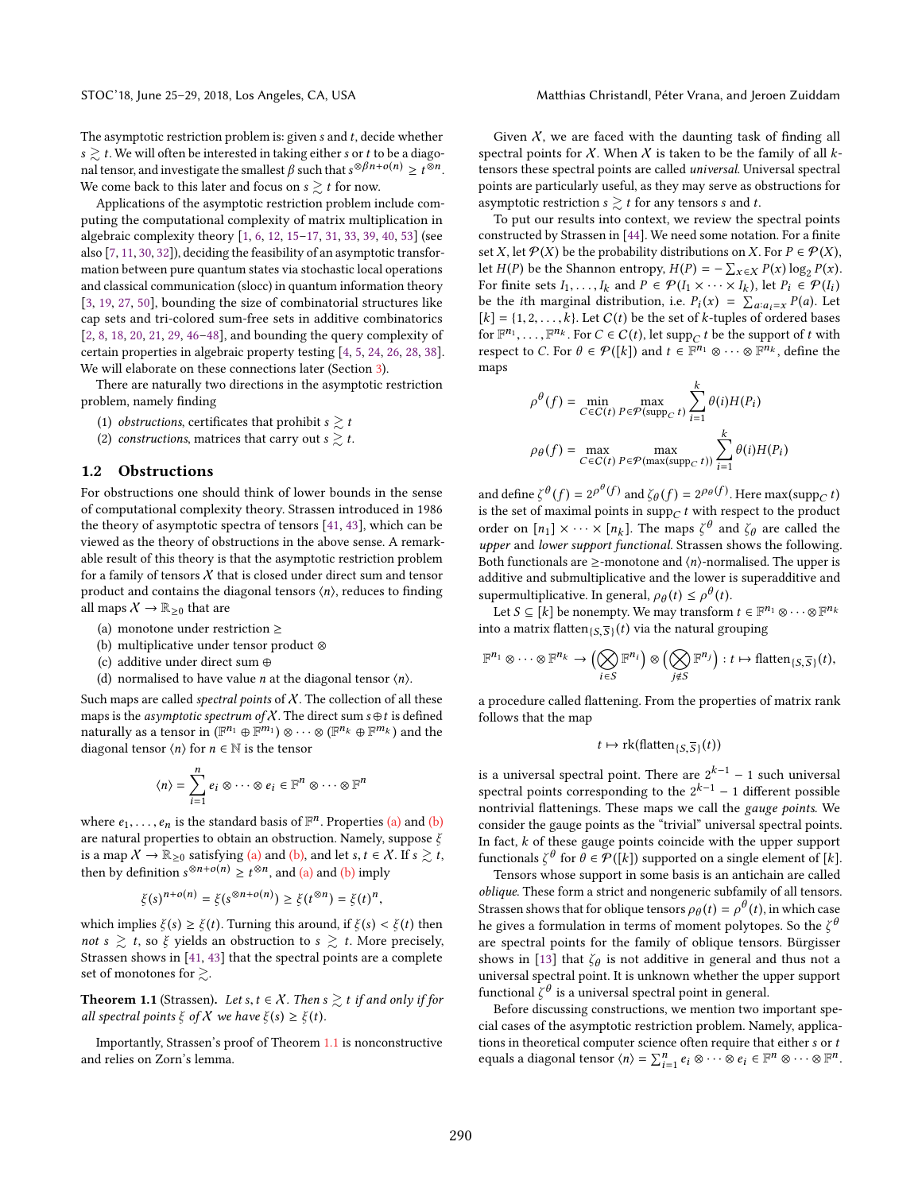The asymptotic restriction problem is: given  $s$  and  $t$ , decide whether s  $\geq t$ . We will often be interested in taking either s or t to be a diagonal tensor, and investigate the smallest β such that  $s^{\otimes \beta n + o(n)} \ge t^{\otimes n}$ .<br>We come book to this later and focus on  $s \ge t$  for now We come back to this later and focus on  $s \geq t$  for now.

Applications of the asymptotic restriction problem include computing the computational complexity of matrix multiplication in algebraic complexity theory [\[1,](#page-6-0) [6,](#page-6-1) [12,](#page-6-2) [15–](#page-6-3)[17,](#page-6-4) [31,](#page-7-3) [33,](#page-7-4) [39,](#page-7-5) [40,](#page-7-6) [53\]](#page-7-7) (see also [\[7,](#page-6-5) [11,](#page-6-6) [30,](#page-7-8) [32\]](#page-7-9)), deciding the feasibility of an asymptotic transformation between pure quantum states via stochastic local operations and classical communication (slocc) in quantum information theory [\[3,](#page-6-7) [19,](#page-6-8) [27,](#page-6-9) [50\]](#page-7-10), bounding the size of combinatorial structures like cap sets and tri-colored sum-free sets in additive combinatorics [\[2,](#page-6-10) [8,](#page-6-11) [18,](#page-6-12) [20,](#page-6-13) [21,](#page-6-14) [29,](#page-6-15) [46](#page-7-11)[–48\]](#page-7-12), and bounding the query complexity of certain properties in algebraic property testing [\[4,](#page-6-16) [5,](#page-6-17) [24,](#page-6-18) [26,](#page-6-19) [28,](#page-6-20) [38\]](#page-7-13). We will elaborate on these connections later (Section [3\)](#page-5-0).

There are naturally two directions in the asymptotic restriction problem, namely finding

- (1) *obstructions*, certificates that prohibit  $s \gtrsim t$
- (2) *constructions*, matrices that carry out  $s \gtrsim t$ .

#### <span id="page-1-3"></span>1.2 Obstructions

For obstructions one should think of lower bounds in the sense of computational complexity theory. Strassen introduced in 1986 the theory of asymptotic spectra of tensors [\[41,](#page-7-1) [43\]](#page-7-14), which can be viewed as the theory of obstructions in the above sense. A remarkable result of this theory is that the asymptotic restriction problem for a family of tensors  $X$  that is closed under direct sum and tensor product and contains the diagonal tensors  $\langle n \rangle$ , reduces to finding all maps  $X \to \mathbb{R}_{\geq 0}$  that are

- <span id="page-1-0"></span>(a) monotone under restriction  $\geq$
- <span id="page-1-1"></span>(b) multiplicative under tensor product ⊗
- (c) additive under direct sum ⊕
- <span id="page-1-4"></span>(d) normalised to have value *n* at the diagonal tensor  $\langle n \rangle$ .

Such maps are called *spectral points* of  $X$ . The collection of all these maps is the *asymptotic spectrum of X*. The direct sum  $s \oplus t$  is defined naturally as a tensor in  $(\mathbb{F}^{n_1} \oplus \mathbb{F}^{m_1}) \otimes \cdots \otimes (\mathbb{F}^{n_k} \oplus \mathbb{F}^{m_k})$  and the diagonal tensor  $(n)$  for  $n \in \mathbb{N}$  is the tensor diagonal tensor  $\langle n \rangle$  for  $n \in \mathbb{N}$  is the tensor

$$
\langle n \rangle = \sum_{i=1}^n e_i \otimes \cdots \otimes e_i \in \mathbb{F}^n \otimes \cdots \otimes \mathbb{F}^n
$$

where  $e_1, \ldots, e_n$  is the standard basis of  $\mathbb{F}^n$ . Properties [\(a\)](#page-1-0) and [\(b\)](#page-1-1) are natural properties to obtain an obstruction. Namely, suppose  $\mathcal{E}$ are natural properties to obtain an obstruction. Namely, suppose  $\xi$ is a map  $X \to \mathbb{R}_{\geq 0}$  satisfying [\(a\)](#page-1-0) and [\(b\),](#page-1-1) and let s,  $t \in X$ . If  $s \geq t$ , then by definition  $s^{\otimes n+o(n)} \ge t^{\otimes n}$ , and [\(a\)](#page-1-0) and [\(b\)](#page-1-1) imply

$$
\xi(s)^{n+o(n)} = \xi(s^{\otimes n+o(n)}) \ge \xi(t^{\otimes n}) = \xi(t)^n,
$$

which implies  $\xi(s) \geq \xi(t)$ . Turning this around, if  $\xi(s) < \xi(t)$  then not  $s \gtrsim t$ , so  $\xi$  yields an obstruction to  $s \gtrsim t$ . More precisely, Strassen shows in [\[41,](#page-7-1) [43\]](#page-7-14) that the spectral points are a complete set of monotones for  $\geq$ .

<span id="page-1-2"></span>**Theorem 1.1** (Strassen). Let s,  $t \in \mathcal{X}$ . Then  $s \geq t$  if and only if for all spectral points  $\xi$  of  $X$  we have  $\xi(s) \geq \xi(t)$ .

Importantly, Strassen's proof of Theorem [1.1](#page-1-2) is nonconstructive and relies on Zorn's lemma.

Given  $X$ , we are faced with the daunting task of finding all spectral points for  $X$ . When  $X$  is taken to be the family of all  $k$ tensors these spectral points are called universal. Universal spectral points are particularly useful, as they may serve as obstructions for asymptotic restriction  $s \geq t$  for any tensors s and t.

To put our results into context, we review the spectral points constructed by Strassen in [\[44\]](#page-7-2). We need some notation. For a finite set X, let  $\mathcal{P}(X)$  be the probability distributions on X. For  $P \in \mathcal{P}(X)$ , let  $H(P)$  be the Shannon entropy,  $H(P) = -\sum_{x \in X} P(x) \log_2 P(x)$ .<br>For finite sets  $L$ , and  $P \in \mathcal{P}(L \times \ldots \times L)$  let  $P \in \mathcal{P}(L)$ . For finite sets  $I_1, \ldots, I_k$  and  $P \in \mathcal{P}(I_1 \times \cdots \times I_k)$ , let  $P_i \in \mathcal{P}(I_1)$ <br>be the *i*<sup>th</sup> marginal distribution i.e.  $P_i(x) = \sum_{i=1}^{k} P(i)$ . Let be the *i*th marginal distribution, i.e.  $P_i(x) = \sum_{a:a_i=x} P(a)$ . Let  $[k] = \{1, 2, \ldots, k\}$  Let  $C(t)$  be the set of *k*-tunkes of ordered bases  $[k] = \{1, 2, \ldots, k\}$ . Let  $C(t)$  be the set of k-tuples of ordered bases for  $\mathbb{F}^{n_1}, \ldots, \mathbb{F}^{n_k}$ . For  $C \in C(t)$ , let supp $_C t$  be the support of t with respect to  $C$ . For  $\theta \in \mathcal{P}([k])$  and  $t \in \mathbb{F}^{n_1} \otimes \cdots \otimes \mathbb{F}^{n_k}$  define the respect to C. For  $\theta \in \mathcal{P}([k])$  and  $t \in \mathbb{F}^{n_1} \otimes \cdots \otimes \mathbb{F}^{n_k}$ , define the maps

$$
\rho^{\theta}(f) = \min_{C \in C(t)} \max_{P \in \mathcal{P}(\text{supp}_C t)} \sum_{i=1}^k \theta(i) H(P_i)
$$

$$
\rho_{\theta}(f) = \max_{C \in C(t)} \max_{P \in \mathcal{P}(\text{max(supp}_C t))} \sum_{i=1}^k \theta(i) H(P_i)
$$

 $\overline{a}$ 

and define  $\zeta^{\theta}(f) = 2^{\rho^{\theta}(f)}$  and  $\zeta_{\theta}(f) = 2^{\rho_{\theta}(f)}$ . Here max(supp<sub>C</sub> is the set of maximal points in supp<sub>C</sub> t with respect to the produ is the set of maximal points in supp<sub>C</sub> t with respect to the product order on  $[n_1] \times \cdots \times [n_k]$ . The maps  $\zeta^{\theta}$  and  $\zeta_{\theta}$  are called the *upper* and *lower support functional* Strassen shows the following upper and lower support functional. Strassen shows the following. Both functionals are  $\geq$ -monotone and  $\langle n \rangle$ -normalised. The upper is additive and submultiplicative and the lower is superadditive and supermultiplicative. In general,  $\rho_{\theta}(t) \leq \rho^{\theta}(t)$ .<br>Let  $S \subset [k]$  be nonempty. We may transform

Let  $S \subseteq [k]$  be nonempty. We may transform  $t \in \mathbb{F}^{n_1} \otimes \cdots \otimes \mathbb{F}^{n_k}$ <br>o a matrix flatten  $\in \mathbb{R}^{n_1}$  via the natural grouping into a matrix flatten $_{\{S,\overline{S}\}}(t)$  via the natural grouping

$$
\mathbb{F}^{n_1} \otimes \cdots \otimes \mathbb{F}^{n_k} \to \left(\bigotimes_{i \in S} \mathbb{F}^{n_i}\right) \otimes \left(\bigotimes_{j \notin S} \mathbb{F}^{n_j}\right) : t \mapsto \text{flatten}_{\{S, \overline{S}\}}(t),
$$

a procedure called flattening. From the properties of matrix rank follows that the map

$$
t \mapsto \text{rk}(\text{flatten}_{\{S,\overline{S}\}}(t))
$$

is a universal spectral point. There are  $2^{k-1}$  – 1 such universal spectral points corresponding to the  $2^{k-1} - 1$  different possible nontrivial flattenings. These maps we call the gauge points. We consider the gauge points as the "trivial" universal spectral points. In fact,  $k$  of these gauge points coincide with the upper support functionals  $\zeta^{\theta}$  for  $\theta \in \mathcal{P}([k])$  supported on a single element of [k].<br>Tensors whose support in some basis is an antichain are called

Tensors whose support in some basis is an antichain are called oblique. These form a strict and nongeneric subfamily of all tensors. Strassen shows that for oblique tensors  $\rho_{\theta}(t) = \rho^{\theta}(t)$ , in which case<br>be given a formulation in terms of moment polytones. So the  $\zeta^{\theta}$ he gives a formulation in terms of moment polytopes. So the  $\zeta^6$ <br>are spectral points for the family of oblique tensors. Burgissed are spectral points for the family of oblique tensors. Bürgisser shows in [\[13\]](#page-6-21) that  $\zeta_{\theta}$  is not additive in general and thus not a universal spectral point. It is unknown whether the upper support universal spectral point. It is unknown whether the upper support functional  $\zeta^{\theta}$  is a universal spectral point in general.<br>Before discussing constructions, we mention two in

Before discussing constructions, we mention two important special cases of the asymptotic restriction problem. Namely, applications in theoretical computer science often require that either  $\bar{s}$  or  $t$ equals a diagonal tensor  $\langle n \rangle = \sum_{i=1}^{n} e_i \otimes \cdots \otimes e_i \in \mathbb{F}^n \otimes \cdots \otimes \mathbb{F}^n$ .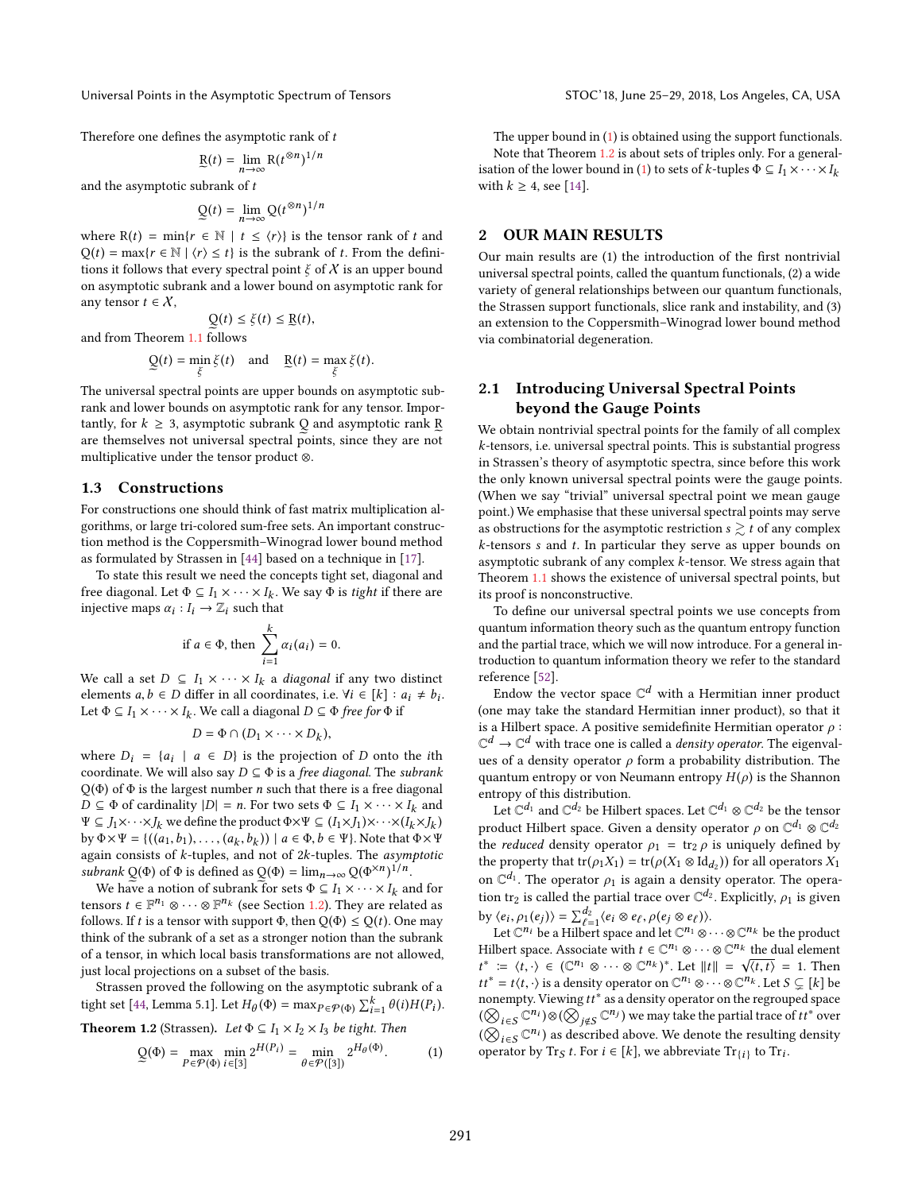Universal Points in the Asymptotic Spectrum of Tensors STOC'18, June 25-29, 2018, Los Angeles, CA, USA

Therefore one defines the asymptotic rank of  $t$ 

$$
\underline{\mathbf{R}}(t) = \lim_{n \to \infty} \mathbf{R}(t^{\otimes n})^{1/n}
$$

and the asymptotic subrank of  $t$ 

$$
Q(t) = \lim_{n \to \infty} Q(t^{\otimes n})^{1/n}
$$

where  $R(t) = \min\{r \in \mathbb{N} \mid t \leq \langle r \rangle\}$  is the tensor rank of t and  $Q(t) = \max\{r \in \mathbb{N} \mid \langle r \rangle \leq t\}$  is the subrank of t. From the defini- $Q(t) = \max\{r \in \mathbb{N} \mid \langle r \rangle \leq t\}$  is the subrank of t. From the definitions it follows that every spectral point  $\xi$  of  $\chi$  is an upper bound on asymptotic subrank and a lower bound on asymptotic rank for any tensor  $t \in \mathcal{X}$ ,

$$
\mathbf{Q}(t) \le \xi(t) \le \mathbf{R}(t),
$$

 $Q(t) \le \xi(t)$  ≤ and from Theorem [1.1](#page-1-2) follows

$$
Q(t) = \min_{\xi} \xi(t)
$$
 and  $R(t) = \max_{\xi} \xi(t)$ .

ξ ξ The universal spectral points are upper bounds on asymptotic subrank and lower bounds on asymptotic rank for any tensor. Importantly, for  $k \geq 3$ , asymptotic subrank Q and asymptotic rank  $\underline{R}$ <br>are themselves not universal spectral points, since they are not  $\sum_{n=1}^{\infty}$  are themselves not universal spectral points, since they are not multiplicative under the tensor product ⊗.

#### <span id="page-2-2"></span>1.3 Constructions

For constructions one should think of fast matrix multiplication algorithms, or large tri-colored sum-free sets. An important construction method is the Coppersmith–Winograd lower bound method as formulated by Strassen in [\[44\]](#page-7-2) based on a technique in [\[17\]](#page-6-4).

To state this result we need the concepts tight set, diagonal and free diagonal. Let  $\Phi \subseteq I_1 \times \cdots \times I_k$ . We say  $\Phi$  is *tight* if there are injective mans  $\alpha : I_1 \to \mathbb{Z}$ , such that injective maps  $\alpha_i : I_i \to \mathbb{Z}_i$  such that

if 
$$
a \in \Phi
$$
, then 
$$
\sum_{i=1}^{k} \alpha_i(a_i) = 0.
$$

We call a set  $D \subseteq I_1 \times \cdots \times I_k$  a *diagonal* if any two distinct elements  $a, b \in D$  differ in all coordinates  $i \in V_i \subseteq [k] \cdot a_i \neq b_i$ elements  $a, b \in D$  differ in all coordinates, i.e.  $\forall i \in [k] : a_i \neq b_i$ .<br>Let  $\Phi \subseteq L \times \cdots \times L$ . We call a diagonal  $D \subseteq \Phi$  free for  $\Phi$  if Let  $\Phi \subseteq I_1 \times \cdots \times I_k$ . We call a diagonal  $D \subseteq \Phi$  free for  $\Phi$  if

$$
D = \Phi \cap (D_1 \times \cdots \times D_k),
$$

 $D = \Phi \cap (D_1 \times \cdots \times D_k),$ <br>where  $D_i = \{a_i \mid a \in D\}$  is the projection of D onto the *i*th<br>coordinate We will also say  $D \subseteq \Phi$  is a free digrand. The subrank coordinate. We will also say  $D \subseteq \Phi$  is a *free diagonal*. The *subrank*  $Q(\Phi)$  of  $\Phi$  is the largest number *n* such that there is a free diagonal  $D \subseteq \Phi$  of cardinality  $|D| = n$ . For two sets  $\Phi \subseteq I_1 \times \cdots \times I_k$  and  $\Psi \subseteq J_1 \times \cdots \times J_k$  we define the product  $\Phi \times \Psi \subseteq (I_1 \times J_1) \times \cdots \times (I_k \times J_k)$ by  $\Phi \times \Psi = \{((a_1, b_1), \ldots, (a_k, b_k)) | a \in \Phi, b \in \Psi\}$ . Note that  $\Phi \times \Psi$ <br>again consists of k-tuples, and not of 2k-tuples. The asymptotic again consists of k-tuples, and not of 2k-tuples. The asymptotic<br>subrank  $O(\Phi)$  of  $\Phi$  is defined as  $O(\Phi)$  – lim subrank  $Q(\Phi)$  of  $\Phi$  is defined as  $Q(\Phi) = \lim_{n \to \infty} Q(\Phi^{\times n})^{1/n}$ .<br>We have a notion of subrank for sets  $\Phi \subseteq k \times \dots \times k$ , and

We have a notion of subrank for sets  $\Phi \subseteq I_1 \times \cdots \times I_k$  and for<br>nears  $t \in \mathbb{R}^{n_1} \otimes \cdots \otimes \mathbb{R}^{n_k}$  (see Section 1.2). They are related as tensors  $t \in \mathbb{F}^{n_1} \otimes \cdots \otimes \mathbb{F}^{n_k}$  (see Section [1.2\)](#page-1-3). They are related as follows If t is a tensor with support  $\Phi$  then  $\Omega(\Phi) \leq \Omega(t)$ . One may follows. If t is a tensor with support  $\Phi$ , then  $Q(\Phi) \leq Q(t)$ . One may think of the subrank of a set as a stronger notion than the subrank of a tensor, in which local basis transformations are not allowed, just local projections on a subset of the basis.

Strassen proved the following on the asymptotic subrank of a tight set [\[44,](#page-7-2) Lemma 5.1]. Let  $H_{\theta}(\Phi) = \max_{P \in \mathcal{P}(\Phi)} \sum_{i=1}^{k} \theta(i) H(P_i)$ .

<span id="page-2-1"></span>**Theorem 1.2** (Strassen). Let  $\Phi \subseteq I_1 \times I_2 \times I_3$  be tight. Then

<span id="page-2-0"></span>
$$
Q(\Phi) = \max_{P \in \mathcal{P}(\Phi)} \min_{i \in [3]} 2^{H(P_i)} = \min_{\theta \in \mathcal{P}([3])} 2^{H_{\theta}(\Phi)}.
$$
 (1)

The upper bound in [\(1\)](#page-2-0) is obtained using the support functionals. Note that Theorem [1.2](#page-2-1) is about sets of triples only. For a general-isation of the lower bound in [\(1\)](#page-2-0) to sets of k-tuples  $\Phi \subseteq I_1 \times \cdots \times I_k$ with  $k \geq 4$ , see [\[14\]](#page-6-22).

#### 2 OUR MAIN RESULTS

Our main results are (1) the introduction of the first nontrivial universal spectral points, called the quantum functionals, (2) a wide variety of general relationships between our quantum functionals, the Strassen support functionals, slice rank and instability, and (3) an extension to the Coppersmith–Winograd lower bound method via combinatorial degeneration.

## 2.1 Introducing Universal Spectral Points beyond the Gauge Points

We obtain nontrivial spectral points for the family of all complex k-tensors, i.e. universal spectral points. This is substantial progress in Strassen's theory of asymptotic spectra, since before this work the only known universal spectral points were the gauge points. (When we say "trivial" universal spectral point we mean gauge point.) We emphasise that these universal spectral points may serve as obstructions for the asymptotic restriction  $s \geq t$  of any complex  $k$ -tensors  $s$  and  $t$ . In particular they serve as upper bounds on asymptotic subrank of any complex k-tensor. We stress again that Theorem [1.1](#page-1-2) shows the existence of universal spectral points, but its proof is nonconstructive.

To define our universal spectral points we use concepts from quantum information theory such as the quantum entropy function and the partial trace, which we will now introduce. For a general introduction to quantum information theory we refer to the standard reference [\[52\]](#page-7-15).

Endow the vector space  $\mathbb{C}^d$  with a Hermitian inner product (one may take the standard Hermitian inner product), so that it is a Hilbert space. A positive semidefinite Hermitian operator  $\rho$ :  $\mathbb{C}^d \to \mathbb{C}^d$  with trace one is called a *density operator*. The eigenvalues of a density operator  $\rho$  form a probability distribution. The quantum entropy or von Neumann entropy  $H(\rho)$  is the Shannon entropy of this distribution.

Let  $\mathbb{C}^{d_1}$  and  $\mathbb{C}^{d_2}$  be Hilbert spaces. Let  $\mathbb{C}^{d_1}\otimes\mathbb{C}^{d_2}$  be the tensor product Hilbert space. Given a density operator  $\rho$  on  $\mathbb{C}^{d_1} \otimes \mathbb{C}^{d_2}$ <br>the *reduced* density operator  $\rho_1$  = tre  $\rho$  is uniquely defined by the *reduced* density operator  $\rho_1 = \text{tr}_2 \rho$  is uniquely defined by the property that  $tr(\rho_1 X_1) = tr(\rho(X_1 \otimes \text{Id}_{d_2}))$  for all operators  $X_1$ <br>come  $\mathbb{C}^{d_1}$ . The appartune is again a density appartune The appear on  $\mathbb{C}^{d_1}$ . The operator  $\rho_1$  is again a density operator. The operation train collect the pertial trace over  $\mathbb{C}^{d_2}$ . Evaluative as is given tion tr<sub>2</sub> is called the partial trace over  $\mathbb{C}^{d_2}$ . Explicitly,  $\rho_1$  is given by  $\langle e_i, \rho_1(e_j) \rangle = \sum_{\ell=1}^{d_2} \langle e_i \otimes e_\ell, \rho(e_j \otimes e_\ell) \rangle$ .<br>Let  $\mathbb{C}^{n_i}$  be a Hilbert space and let  $\mathbb{C}^{n_1} \otimes \cdot$ 

Let  $\mathbb{C}^{n_i}$  be a Hilbert space and let  $\mathbb{C}^{n_1} \otimes \cdots \otimes \mathbb{C}^{n_k}$  be the product Hilbert space. Associate with  $t \in \mathbb{C}^{n_1} \otimes \cdots \otimes \mathbb{C}^{n_k}$  the dual element  $t^* := \langle t, \cdot \rangle \in \langle \mathbb{C}^{n_1} \otimes \cdots \otimes \mathbb{C}^{n_k} \rangle^*$  Let  $||t|| = \sqrt{|t|t|} = 1$ . Then t :=  $\langle t, \cdot \rangle \in (\mathbb{C}^{r_1} \otimes \cdots \otimes \mathbb{C}^{r_k})$ . Let  $||t|| = \sqrt{\langle t, t \rangle} = 1$ . Then<br>  $tt^* = t(t, \cdot)$  is a density operator on  $\mathbb{C}^{n_1} \otimes \cdots \otimes \mathbb{C}^{n_k}$ . Let  $S \subsetneq [k]$  be <sup>\*</sup> :=  $\langle t, \cdot \rangle \in (\mathbb{C}^{n_1} \otimes \cdots \otimes \mathbb{C}^{n_k})^*$ . Let  $||t|| = \sqrt{\langle t, t \rangle} = 1$ . Then  $t^* = t/t$ ,  $\lambda$  is a density operator on  $\mathbb{C}^{n_1} \otimes \cdots \otimes \mathbb{C}^{n_k}$ . Let  $S \subset [k]$  here nonempty. Viewing  $tt^*$  as a density operator on the regrouped space  $(\bigotimes_{n=1}^{\infty} \bigotimes_{n=1}^{\infty} (\bigotimes_{n=1}^{\infty} \bigotimes_{n=1}^{\infty} w_n)$  $(\bigotimes_{i\in S} \mathbb{C}^{n_i})$  as described above. We denote the resulting density<br>operator by Trs t. For  $i \in [k]$ , we abbreviate Tr(x) to Tr;  $\bigotimes_{i \in S} \mathbb{C}^{n_i}$   $\otimes (\bigotimes_{j \notin S} \mathbb{C}^{n_j})$  we may take the partial trace of  $tt^*$  over operator by Tr<sub>S</sub> t. For  $i \in [k]$ , we abbreviate  $Tr_{\{i\}}$  to Tr<sub> $\{i\}$ </sub> to Tr .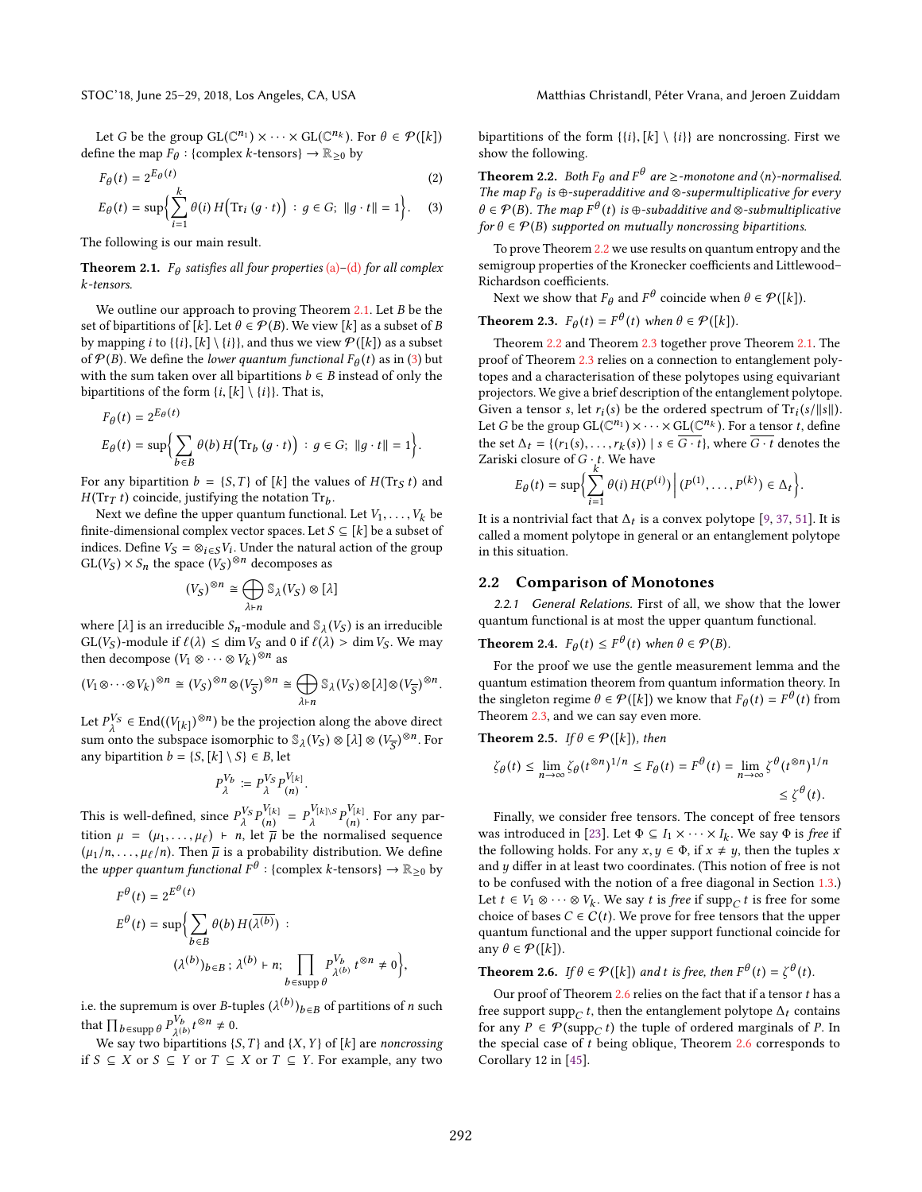Let G be the group  $GL(\mathbb{C}^{n_1}) \times \cdots \times GL(\mathbb{C}^{n_k})$ . For  $\theta \in \mathcal{P}([k])$ define the map  $\overline{F}_{\theta}$  : {complex k-tensors}  $\rightarrow \mathbb{R}_{\geq 0}$  by

$$
F_{\theta}(t) = 2^{E_{\theta}(t)}
$$
\n
$$
E_{\theta}(t) = \sup \left\{ \sum_{i=1}^{k} \theta(i) H\big(\text{Tr}_i(g \cdot t)\big) : g \in G; ||g \cdot t|| = 1 \right\}.
$$
\n(2)

 $\sqrt{i=1}$ <br>The following is our main result.

<span id="page-3-0"></span>**Theorem 2.1.**  $F_{\theta}$  satisfies all four properties [\(a\)–](#page-1-0)[\(d\)](#page-1-4) for all complex  $k$ -tensors k-tensors.

We outline our approach to proving Theorem [2.1.](#page-3-0) Let B be the set of bipartitions of [k]. Let  $\theta \in \mathcal{P}(B)$ . We view [k] as a subset of B by mapping *i* to  $\{\{i\},\{k\}\setminus\{i\}\}\$ , and thus we view  $\mathcal{P}(\{k\})$  as a subset of  $P(B)$ . We define the lower quantum functional  $F_{\theta}(t)$  as in [\(3\)](#page-3-1) but<br>with the sum taken over all binartitions  $h \in B$  instead of only the with the sum taken over all bipartitions  $b \in B$  instead of only the bipartitions of the form  $\{i, [k] \setminus \{i\}\}\$ . That is,

$$
F_{\theta}(t) = 2^{E_{\theta}(t)}
$$
  

$$
E_{\theta}(t) = \sup \left\{ \sum_{b \in B} \theta(b) H(\text{Tr}_b(g \cdot t)) : g \in G; ||g \cdot t|| = 1 \right\}
$$

For any bipartition  $b = \{S, T\}$  of  $[k]$  the values of  $H(\text{Tr}_S t)$  and  $H(\text{Tr}_T t)$  coincide justifying the notation  $\text{Tr}_S$ .  $H(\text{Tr}_T t)$  coincide, justifying the notation  $\text{Tr}_b$ .<br>Next we define the unner quantum function

Next we define the upper quantum functional. Let  $V_1, \ldots, V_k$  be finite-dimensional complex vector spaces. Let  $S \subseteq [k]$  be a subset of indices. Define  $V_S = \otimes_{i \in S} V_i$ . Under the natural action of the group  $GL(V_{\alpha}) \times S$ , the space  $(V_{\alpha})^{\otimes n}$  decomposes as  $GL(V_S) \times S_n$  the space  $(V_S)^{\otimes n}$  decomposes as

$$
(V_S)^{\otimes n} \cong \bigoplus_{\lambda \vdash n} \mathbb{S}_{\lambda}(V_S) \otimes [\lambda]
$$

where  $[\lambda]$  is an irreducible  $S_n$ -module and  $\mathcal{S}_{\lambda}(V_S)$  is an irreducible  $\Omega(V_S)$ -module if  $\ell(\lambda) < \dim V_S$  and  $0$  if  $\ell(\lambda) > \dim V_S$ . We may  $GL(V_S)$ -module if  $\ell(\lambda) \le \dim V_S$  and 0 if  $\ell(\lambda) > \dim V_S$ . We may then decompose  $(V_1 \otimes \cdots \otimes V_k)^{\otimes n}$  as

$$
(V_1 \otimes \cdots \otimes V_k)^{\otimes n} \cong (V_S)^{\otimes n} \otimes (V_{\overline{S}})^{\otimes n} \cong \bigoplus_{\lambda \vdash n} \mathbb{S}_{\lambda}(V_S) \otimes [\lambda] \otimes (V_{\overline{S}})^{\otimes n}
$$

Let  $P_X^{V_S} \in \text{End}((V_{[k]})^{\otimes n})$  be the projection along the above direct<br>sum anto the subgress isomorphic to  $\mathbb{S}_k(V_S) \otimes [1] \otimes (V_S) \otimes n$ . For sum onto the subspace isomorphic to  $\mathcal{S}_{\lambda}(V_S) \otimes [\lambda] \otimes (V_{\overline{S}})^{\otimes n}$ . For<br>any bipartition  $b = \{S, [k] \setminus S\} \in B$ . let any bipartition  $b = \{S, [k] \setminus S\} \in B$ , let

$$
P_\lambda^{V_b} := P_\lambda^{V_S} P_{(n)}^{V_{[k]}}.
$$

This is well-defined, since  $P_{\lambda}^{V_S}$  $\frac{\lambda}{\lambda} P^{V_{[k]}}_{(n)}$ <br>bet  $\overline{\mu}$  $\binom{V_{[k]}}{(n)} = P_{\lambda}^{V_{[k] \setminus S}}$ <br>t  $\overline{\mu}$  be the no  $P^{V_{[k] \setminus S}}_{\lambda} P^{V_{[k]}}_{(n)}$  $\frac{1}{10}$ . For any partition  $\mu = (\mu_1, ..., \mu_\ell) \vdash n$ , let  $\overline{\mu}$  be the normalised sequence  $(\mu_1/n, \ldots, \mu_\ell/n)$ . Then  $\overline{\mu}$  is a probability distribution. We define the *upper quantum functional*  $\overline{F}^{\theta}$  : {complex *k*-tensors}  $\rightarrow \mathbb{R}_{\geq 0}$  by

$$
F^{\theta}(t) = 2^{E^{\theta}(t)}
$$
  
\n
$$
E^{\theta}(t) = \sup \left\{ \sum_{b \in B} \theta(b) H(\overline{\lambda^{(b)}}) : \right\}
$$
  
\n
$$
(\lambda^{(b)})_{b \in B} : \lambda^{(b)} \vdash n; \prod_{b \in \text{supp } \theta} P_{\lambda^{(b)}}^{V_b} t^{\otimes n} \neq 0 \right\},
$$

i.e. the supremum is over *B*-tuples  $(\lambda^{(b)})_{b \in B}$  of partitions of *n* such that  $\Pi$ that  $\prod_{b \in \text{supp } \theta} P_{\lambda^{(b)}}^{V_b} t^{\otimes n} \neq 0.$ <br>We see two binaritions (1)

We say two bipartitions  $\{S, T\}$  and  $\{X, Y\}$  of  $[k]$  are noncrossing<br> $S \subseteq X$  or  $S \subseteq Y$  or  $T \subseteq X$  or  $T \subseteq Y$ . For example, any two if  $S \subseteq X$  or  $S \subseteq Y$  or  $T \subseteq X$  or  $T \subseteq Y$ . For example, any two bipartitions of the form  $\{\{i\},\{k\}\setminus\{i\}\}$  are noncrossing. First we show the following.

<span id="page-3-2"></span><span id="page-3-1"></span>**Theorem 2.2.** Both  $F_{\theta}$  and  $F^{\theta}$  are  $\geq$ -monotone and  $\langle n \rangle$ -normalised.<br>The map  $F_{\theta}$  is  $\oplus$ -superadditive and  $\otimes$ -supermultiplicative for every The map  $F_{\theta}$  is ⊕-superadditive and ⊗-supermultiplicative for every<br> $\theta \in \mathcal{P}(B)$ . The map  $F^{\theta}(t)$  is  $\mathbb{Q}$  subodditive and  $\mathbb{Q}$  submultiplicative  $\theta \in \mathcal{P}(B)$ . The map  $F^{\theta}(t)$  is ⊕-subadditive and ⊗-submultiplicative<br>for  $\theta \in \mathcal{P}(B)$  supported on mutually noncrossing binartitions for  $\theta \in \mathcal{P}(B)$  supported on mutually noncrossing bipartitions.

To prove Theorem [2.2](#page-3-2) we use results on quantum entropy and the semigroup properties of the Kronecker coefficients and Littlewood– Richardson coefficients.

Next we show that  $F_{\theta}$  and  $F^{\theta}$  coincide when  $\theta \in \mathcal{P}([k])$ .

<span id="page-3-3"></span>**Theorem 2.3.**  $F_{\theta}(t) = F^{\theta}(t)$  when  $\theta \in \mathcal{P}([k])$ .

Theorem [2.2](#page-3-2) and Theorem [2.3](#page-3-3) together prove Theorem [2.1.](#page-3-0) The proof of Theorem [2.3](#page-3-3) relies on a connection to entanglement polytopes and a characterisation of these polytopes using equivariant projectors. We give a brief description of the entanglement polytope. Given a tensor s, let  $r_i(s)$  be the ordered spectrum of  $Tr_i(s/||s||)$ .<br>Let G be the group  $GI(\mathbb{C}^{n_1}) \times \ldots \times GI(\mathbb{C}^{n_k})$ . For a tensor t define Let G be the group  $GL(\mathbb{C}^{n_1}) \times \cdots \times GL(\mathbb{C}^{n_k})$ . For a tensor t, define<br>the set  $A_{\cdot} = I(x, (s_1, \ldots, x_k, (s_1)) | s \in \overline{G_{\cdot} t}$  where  $\overline{G_{\cdot} t}$  denotes the the set  $\Delta_t = \{(r_1(s), \ldots, r_k(s)) \mid s \in \overline{G \cdot t}\}$ , where  $\overline{G \cdot t}$  denotes the Zariski closure of  $G \cdot t$ . We have Zariski closure of  $G \cdot t$ . We have

$$
E_{\theta}(t) = \sup \Biggl\{ \sum_{i=1}^{k} \theta(i) H(P^{(i)}) \, \Big| \, (P^{(1)}, \ldots, P^{(k)}) \in \Delta_t \Biggr\}.
$$

It is a nontrivial fact that  $\Delta_t$  is a convex polytope [\[9,](#page-6-23) [37,](#page-7-16) [51\]](#page-7-17). It is called a moment polytope in general or an entanglement polytope called a moment polytope in general or an entanglement polytope in this situation.

#### 2.2 Comparison of Monotones

2.2.1 General Relations. First of all, we show that the lower quantum functional is at most the upper quantum functional.

**Theorem 2.4.**  $F_{\theta}(t) \leq F^{\theta}(t)$  when  $\theta \in \mathcal{P}(B)$ .

For the proof we use the gentle measurement lemma and the quantum estimation theorem from quantum information theory. In the singleton regime  $\theta \in \mathcal{P}([k])$  we know that  $F_{\theta}(t) = F^{\theta}(t)$  from<br>Theorem 2.3, and we can say even more Theorem [2.3,](#page-3-3) and we can say even more.

<span id="page-3-5"></span>**Theorem 2.5.** If  $\theta \in \mathcal{P}([k])$ , then

$$
\zeta_{\theta}(t) \le \lim_{n \to \infty} \zeta_{\theta}(t^{\otimes n})^{1/n} \le F_{\theta}(t) = F^{\theta}(t) = \lim_{n \to \infty} \zeta^{\theta}(t^{\otimes n})^{1/n} \le \zeta^{\theta}(t).
$$

Finally, we consider free tensors. The concept of free tensors was introduced in [\[23\]](#page-6-24). Let  $\Phi \subseteq I_1 \times \cdots \times I_k$ . We say  $\Phi$  is *free* if<br>the following holds. For any  $x, y \in \Phi$  if  $x \neq y$ , then the tuples x the following holds. For any  $x, y \in \Phi$ , if  $x \neq y$ , then the tuples x and  $y$  differ in at least two coordinates. (This notion of free is not to be confused with the notion of a free diagonal in Section [1.3.](#page-2-2)) Let  $t \in V_1 \otimes \cdots \otimes V_k$ . We say t is free if supp<sub>C</sub> t is free for some choice of bases  $C \in C(t)$ . We prove for free tensors that the upper choice of bases  $C \in C(t)$ . We prove for free tensors that the upper quantum functional and the upper support functional coincide for any  $\theta \in \mathcal{P}([k])$ .

<span id="page-3-4"></span>**Theorem 2.6.** If  $\theta \in \mathcal{P}([k])$  and t is free, then  $F^{\theta}(t) = \zeta^{\theta}(t)$ .

Our proof of Theorem  $2.6$  relies on the fact that if a tensor  $t$  has a free support supp<sub>C</sub> *t*, then the entanglement polytope  $\Delta_t$  contains for any  $P \in \mathcal{P}$  (supperties) the tuple of ordered marginals of  $P$  In for any  $P \in \mathcal{P}(\text{supp}_C t)$  the tuple of ordered marginals of P. In the special case of t being oblique. Theorem 26 corresponds to the special case of  $t$  being oblique, Theorem  $2.6$  corresponds to Corollary 12 in [\[45\]](#page-7-18).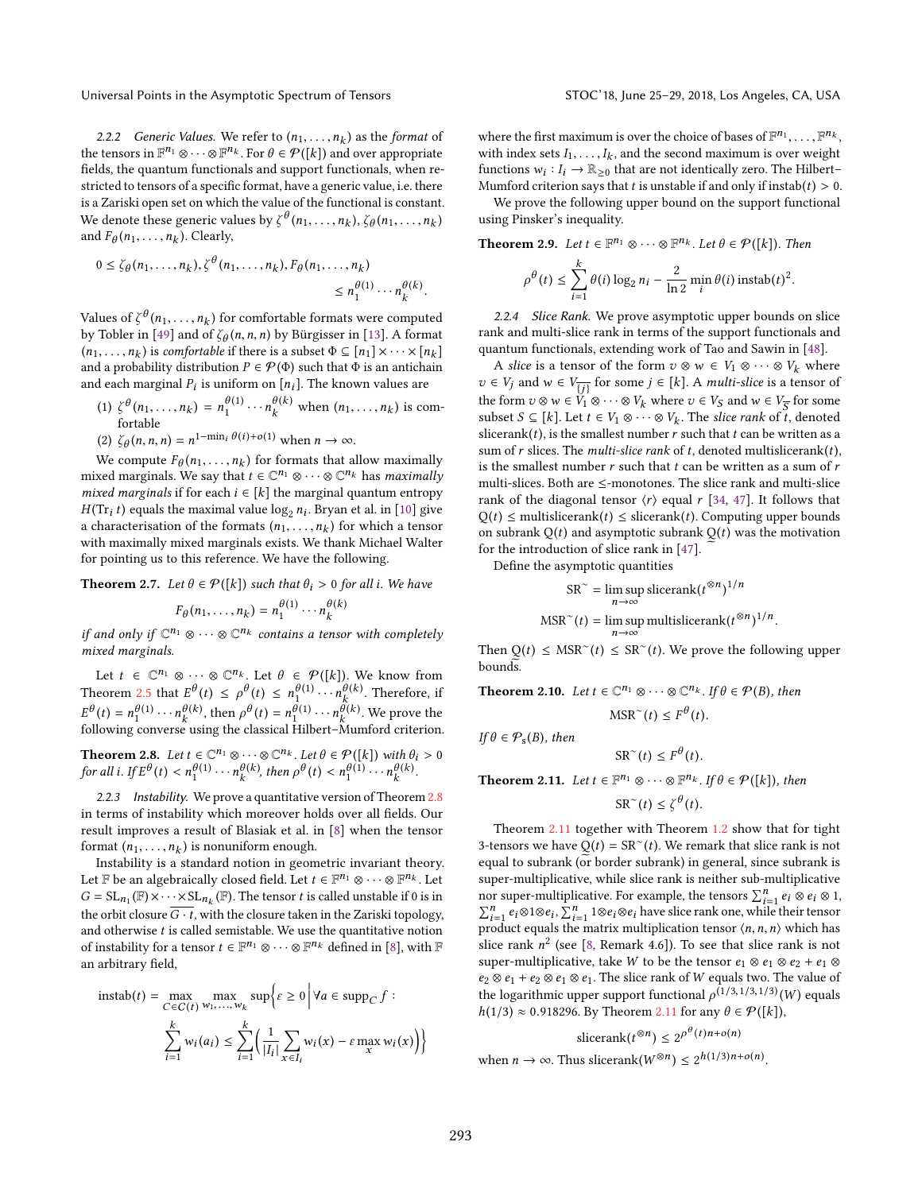Universal Points in the Asymptotic Spectrum of Tensors STOC'18, June 25-29, 2018, Los Angeles, CA, USA

2.2.2 Generic Values. We refer to  $(n_1, \ldots, n_k)$  as the format of tensors in  $\mathbb{R}^{n_1} \otimes \ldots \otimes \mathbb{R}^{n_k}$ . For  $\theta \in \mathcal{P}(\lceil k \rceil)$  and over appropriate the tensors in  $\mathbb{F}^{n_1} \otimes \cdots \otimes \mathbb{F}^{n_k}$ . For  $\theta \in \mathcal{P}([k])$  and over appropriate fields the quantum functionals and support functionals when refields, the quantum functionals and support functionals, when restricted to tensors of a specific format, have a generic value, i.e. there is a Zariski open set on which the value of the functional is constant. We denote these generic values by  $\zeta^{\theta}(n_1,\ldots,n_k), \zeta_{\theta}(n_1,\ldots,n_k)$ <br>and  $F_{\theta}(n_1,\ldots,n_k)$ . Clearly and  $F_{\theta}(n_1, \ldots, n_k)$ . Clearly,

$$
0 \le \zeta_{\theta}(n_1,\ldots,n_k), \zeta^{\theta}(n_1,\ldots,n_k), F_{\theta}(n_1,\ldots,n_k) \le n_1^{\theta(1)}\cdots n_k^{\theta(k)}.
$$

Values of  $\zeta^{\theta}(n_1,\ldots,n_k)$  for comfortable formats were computed<br>by Tobler in [49] and of  $\zeta_2(n,n,n)$  by Bürgisser in [13]. A format by Tobler in [\[49\]](#page-7-19) and of  $\zeta_{\theta}(n,n,n)$  by Bürgisser in [\[13\]](#page-6-21). A format  $(n_1, \ldots, n_k)$  is comfortable if there is a subset  $\Phi \subseteq [n_1] \times \cdots \times [n_k]$ <br>and a probability distribution  $P \in \mathcal{P}(\Phi)$  such that  $\Phi$  is an antichain and a probability distribution  $P \in \mathcal{P}(\Phi)$  such that  $\Phi$  is an antichain and each marginal  $P_i$  is uniform on  $[n_i]$ . The known values are

- (1)  $\zeta^{\theta}(n_1, \ldots, n_k) = n_1^{\theta(1)} \cdots n_k^{\theta(k)}$  when  $(n_1, \ldots, n_k)$  is com-<br>fortable fortable
- (2)  $\zeta_{\theta}(n, n, n) = n^{1 \min_{i} \theta(i) + o(1)}$  when  $n \to \infty$ .

We compute  $F_{\theta}(n_1, \ldots, n_k)$  for formats that allow maximally ved maximals We say that  $t \in \mathbb{C}^{n_1} \otimes \ldots \otimes \mathbb{C}^{n_k}$  has maximally mixed marginals. We say that  $t \in \mathbb{C}^{n_1} \otimes \cdots \otimes \mathbb{C}^{n_k}$  has *maximally* mixed marginals if for each  $i \in [k]$  the marginal quantum entropy mixed marginals if for each  $i \in [k]$  the marginal quantum entropy  $H(\text{Tr}_i t)$  equals the maximal value  $\log_2 n_i$ . Bryan et al. in [\[10\]](#page-6-25) give a characterisation of the formats  $(n_1, \ldots, n_k)$  for which a tensor<br>with maximally mixed marginals exists. We thank Michael Walter with maximally mixed marginals exists. We thank Michael Walter for pointing us to this reference. We have the following.

**Theorem 2.7.** Let  $\theta \in \mathcal{P}([k])$  such that  $\theta_i > 0$  for all i. We have

$$
F_{\theta}(n_1,\ldots,n_k)=n_1^{\theta(1)}\cdots n_k^{\theta(k)}
$$

 $F_{\theta}(n_1,\ldots,n_k) = n_1^{\nu(1)} \cdots n_k^{\nu(k)}$ <br>if and only if  $\mathbb{C}^{n_1} \otimes \cdots \otimes \mathbb{C}^{n_k}$  contains a tensor with completely mixed marginals.

Let  $t \in \mathbb{C}^{n_1} \otimes \cdots \otimes \mathbb{C}^{n_k}$ . Let  $\theta \in \mathcal{P}([k])$ . We know from Theorem [2.5](#page-3-5) that  $E^{\theta}(t) \leq \rho^{\theta}(t) \leq n_1^{\theta(1)} \cdots n_k^{\theta(k)}$ <br>  $E^{\theta}(t) = n^{\theta(1)} \cdots n_k^{\theta(k)}$  then  $e^{\theta}(t) = n^{\theta(1)} \cdots n_k^{\theta(k)}$ . Therefore, if  $\frac{1}{k}$  following converse using the classical Hilbert–Mumford criterion.  $\theta(t) = n_1^{\theta(1)} \cdots n_k^{\theta(k)}$ , then  $\rho^{\theta}(t) = n_1^{\theta(1)} \cdots n_k^{\theta(k)}$ . We prove the prove the close of the close of Hilbert-Mumford criterion

<span id="page-4-0"></span>**Theorem 2.8.** Let  $t \in \mathbb{C}^{n_1} \otimes \cdots \otimes \mathbb{C}^{n_k}$ . Let  $\theta \in \mathcal{P}([k])$  with  $\theta_i > 0$ <br>for all i If  $E^{\theta}(t) \leq n^{\theta(1)} \cdots n^{\theta(k)}$  then  $\theta^{(\theta)}(t) \leq n^{\theta(1)} \cdots n^{\theta(k)}$ for all i. If  $E^{\theta}(t) < n_1^{\theta(1)} \cdots n_k^{\theta(k)}$ , then  $\rho^{\theta}(t) < n_1^{\theta(1)} \cdots n_k^{\theta(k)}$ .

2.2.3 Instability. We prove a quantitative version of Theorem  $2.8$ in terms of instability which moreover holds over all fields. Our result improves a result of Blasiak et al. in [\[8\]](#page-6-11) when the tensor format  $(n_1, \ldots, n_k)$  is nonuniform enough.<br>Instability is a standard notion in geometry

Instability is a standard notion in geometric invariant theory. Let F be an algebraically closed field. Let  $t \in \mathbb{F}^{n_1} \otimes \cdots \otimes \mathbb{F}^{n_k}$ . Let  $G = \text{SI} \cup \text{SI} \times \cdots \times \text{SI} \cup \text{I}$  The tensor t is called unstable if 0 is in  $G = SL_{n_1}(\mathbb{F}) \times \cdots \times SL_{n_k}(\mathbb{F})$ . The tensor *t* is called unstable if 0 is in the orbit closure  $\overline{G \cdot t}$ , with the closure taken in the Zariski topology, and otherwise  $t$  is called semistable. We use the quantitative notion of instability for a tensor  $t \in \mathbb{F}^{n_1} \otimes \cdots \otimes \mathbb{F}^{n_k}$  defined in [\[8\]](#page-6-11), with  $\mathbb F$ <br>an arbitrary field an arbitrary field,

$$
\text{instab}(t) = \max_{C \in C(t)} \max_{w_1, \dots, w_k} \sup \left\{ \varepsilon \ge 0 \, \middle| \, \forall a \in \text{supp}_C \, f : \sum_{i=1}^k w_i(a_i) \le \sum_{i=1}^k \left( \frac{1}{|I_i|} \sum_{x \in I_i} w_i(x) - \varepsilon \max_x w_i(x) \right) \right\}
$$

where the first maximum is over the choice of bases of  $\mathbb{F}^{n_1}, \ldots, \mathbb{F}^{n_k}$ ,<br>with index sets  $L$ , and the second maximum is over weight. with index sets  $I_1, \ldots, I_k$ , and the second maximum is over weight functions  $w : I_1 \to \mathbb{R}_{\geq 0}$  that are not identically zero. The Hilbertfunctions  $w_i : I_i \to \mathbb{R}_{\geq 0}$  that are not identically zero. The Hilbert–<br>Mumford criterion save that t is unstable if and only if instable  $\lambda > 0$ . Mumford criterion says that t is unstable if and only if instab $(t) > 0$ .

We prove the following upper bound on the support functional using Pinsker's inequality.

**Theorem 2.9.** Let  $t \in \mathbb{F}^{n_1} \otimes \cdots \otimes \mathbb{F}^{n_k}$ . Let  $\theta \in \mathcal{P}([k])$ . Then

$$
\rho^{\theta}(t) \leq \sum_{i=1}^{k} \theta(i) \log_2 n_i - \frac{2}{\ln 2} \min_{i} \theta(i) \text{ instab}(t)^2.
$$

2.2.4 Slice Rank. We prove asymptotic upper bounds on slice rank and multi-slice rank in terms of the support functionals and quantum functionals, extending work of Tao and Sawin in [\[48\]](#page-7-12).

A *slice* is a tensor of the form  $v \otimes w \in V_1 \otimes \cdots \otimes V_k$  where  $v \in V_j$  and  $w \in V_{\{j\}}$  for some  $j \in [k]$ . A *multi-slice* is a tensor of<br>the form  $v \otimes w \in V_1 \otimes \cdots \otimes V_l$  where  $v \in V_2$  and  $w \in V_2$  for some the form  $v \otimes w \in V_1' \otimes \cdots \otimes V_k$  where  $v \in V_S$  and  $w \in V_{\overline{S}}$  for some subset  $S \subseteq [k]$ . Let  $t \in V_1 \otimes \cdots \otimes V_k$ . The *slice rank* of *t*. denoted subset  $S \subseteq [k]$ . Let  $t \in V_1 \otimes \cdots \otimes V_k$ . The *slice rank* of t, denoted slicerank(t) is the smallest number r such that t can be written as a slicerank(t), is the smallest number  $r$  such that  $t$  can be written as a sum of r slices. The *multi-slice rank* of t, denoted multislicerank $(t)$ , is the smallest number  $r$  such that  $t$  can be written as a sum of  $r$ multi-slices. Both are ≤-monotones. The slice rank and multi-slice rank of the diagonal tensor  $\langle r \rangle$  equal r [\[34,](#page-7-20) [47\]](#page-7-21). It follows that  $Q(t) \le$  multislicerank(t)  $\le$  slicerank(t). Computing upper bounds on subrank  $Q(t)$  and asymptotic subrank  $Q(t)$  was the motivation<br>for the introduction of slice rank in [47] for the introduction of slice rank in [\[47\]](#page-7-21).

Define the asymptotic quantities

$$
SR^{\sim} = \limsup_{n \to \infty} \text{slicerank}(t^{\otimes n})^{1/n}
$$
  

$$
MSR^{\sim}(t) = \limsup_{n \to \infty} \text{multislicerank}(t^{\otimes n})^{1/n}.
$$

Then  $Q(t)$  ≤ MSR<sup>∼</sup>(t) ≤ SR<sup>∼</sup>(t). We prove the following upper<br>hounder bounds.

**Theorem 2.10.** Let  $t \in \mathbb{C}^{n_1} \otimes \cdots \otimes \mathbb{C}^{n_k}$ . If  $\theta \in \mathcal{P}(B)$ , then

$$
\mathrm{MSR}^{\sim}(t) \leq F^{\theta}(t).
$$

If  $\theta \in \mathcal{P}_s(B)$ , then

$$
SR^{\sim}(t) \leq F^{\theta}(t)
$$

<span id="page-4-1"></span> $SR^{\sim}(t) \leq F^{\theta}(t).$ <br>Theorem 2.11. Let  $t \in \mathbb{F}^{n_1} \otimes \cdots \otimes \mathbb{F}^{n_k}$ . If  $\theta \in \mathcal{P}([k])$ , then

 $\text{SR}^{\sim}(t) \leq \zeta^{\theta}$ (t).

Theorem [2.11](#page-4-1) together with Theorem [1.2](#page-2-1) show that for tight 3-tensors we have  $Q(t) = SR^*(t)$ . We remark that slice rank is not equal to subvank (or border subvank) in general, since subvank is  $\exp(\frac{2\pi}{\sigma})$  for border subrank) in general, since subrank is super-multiplicative, while slice rank is neither sub-multiplicative nor super-multiplicative. For example, the tensors  $\sum_{i=1}^{n} e_i \otimes e_i \otimes 1$ , nor super-multiplicative. For example, the tensors  $\sum_{i=1}^{n} e_i \otimes e_i \otimes 1$ ,<br>  $\sum_{i=1}^{n} e_i \otimes 1 \otimes e_i$ ,  $\sum_{i=1}^{n} 1 \otimes e_i \otimes e_i$  have slice rank one, while their tensor<br>
product equals the matrix multiplication tensor  $\langle$ product equals the matrix multiplication tensor  $(n, n, n)$  which has slice rank  $n^2$  (see [\[8,](#page-6-11) Remark 4.6]). To see that slice rank is not super-multiplicative take M to be the tensor  $e_1 \otimes e_2 \otimes e_3 + e_4 \otimes e_4$ super-multiplicative, take W to be the tensor  $e_1 \otimes e_1 \otimes e_2 + e_1 \otimes$  $e_2 \otimes e_1 + e_2 \otimes e_1 \otimes e_1$ . The slice rank of W equals two. The value of the logarithmic upper support functional  $\rho^{(1/3,1/3,1/3)}(W)$  equals  $h(1/3) \approx 0.918296$ . By Theorem 2.11 for any  $\theta \in \mathcal{D}([k])$  $h(1/3) \approx 0.918296$ . By Theorem [2.11](#page-4-1) for any  $\theta \in \mathcal{P}([k])$ ,

$$
\text{slicerank}(t^{\otimes n}) \le 2^{\rho^{\theta}(t)n + o(n)}
$$

when  $n \to \infty$ . Thus slicerank $(W^{\otimes n}) \le 2^{h(1/3)n + o(n)}$ .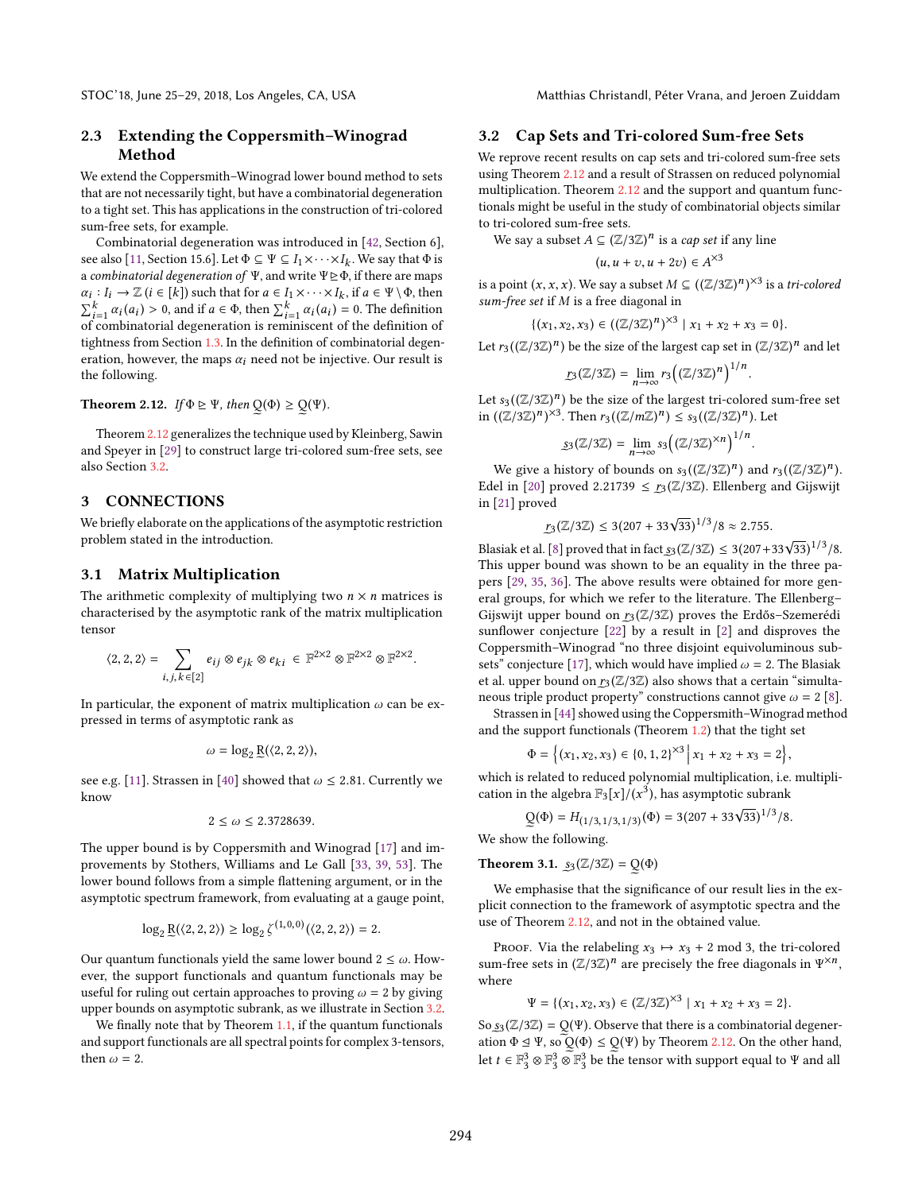STOC'18, June 25-29, 2018, Los Angeles, CA, USA Matthias Christandl, Péter Vrana, and Jeroen Zuiddam

## 2.3 Extending the Coppersmith–Winograd Method

We extend the Coppersmith–Winograd lower bound method to sets that are not necessarily tight, but have a combinatorial degeneration to a tight set. This has applications in the construction of tri-colored sum-free sets, for example.

Combinatorial degeneration was introduced in [\[42,](#page-7-22) Section 6], see also [\[11,](#page-6-6) Section 15.6]. Let  $\Phi \subseteq \Psi \subseteq I_1 \times \cdots \times I_k$ . We say that  $\Phi$  is a combinatorial degeneration of  $\Psi$ , and write  $\Psi \trianglerighteq \Phi$ , if there are maps  $\sum_{i=1}^{k} \alpha_i(a_i) > 0$ , and if  $a \in \Phi$ , then  $\sum_{i=1}^{k} \alpha_i(a_i) = 0$ . The definition of combinatorial degeneration is reminiscent of the definition of :  $I_i \rightarrow \mathbb{Z}$   $(i \in [k])$  such that for  $a \in I_1 \times \cdots \times I_k$ , if  $a \in \Psi \setminus \Phi$ , then  $\sum_{i=1}^{\infty} \alpha_i(a_i) > 0$ , and if  $a \in \Psi$ , then  $\sum_{i=1}^{\infty} \alpha_i(a_i) = 0$ . The definition of combinatorial degeneration is reminiscent of the definition of tightness from Section [1.3.](#page-2-2) In the definition of combinatorial degeneration, however, the maps  $\alpha_i$  need not be injective. Our result is the following.

<span id="page-5-1"></span>**Theorem 2.12.** If  $\Phi \trianglerighteq \Psi$ , then  $\mathbb{Q}(\Phi) \geq \mathbb{Q}(\Psi)$ .

Theorem [2.12](#page-5-1) generalizes the technique used by Kleinberg, Sawin and Speyer in [\[29\]](#page-6-15) to construct large tri-colored sum-free sets, see also Section [3.2.](#page-5-2)

### <span id="page-5-0"></span>3 CONNECTIONS

We briefly elaborate on the applications of the asymptotic restriction problem stated in the introduction.

#### 3.1 Matrix Multiplication

The arithmetic complexity of multiplying two  $n \times n$  matrices is characterised by the asymptotic rank of the matrix multiplication tensor

$$
\langle 2,2,2\rangle=\sum_{i,j,k\in[2]}e_{ij}\otimes e_{jk}\otimes e_{ki}\in\mathbb{F}^{2\times 2}\otimes\mathbb{F}^{2\times 2}\otimes\mathbb{F}^{2\times 2}
$$

In particular, the exponent of matrix multiplication  $\omega$  can be expressed in terms of asymptotic rank as

$$
\omega = \log_2 \underline{\mathsf{R}}(\langle 2, 2, 2 \rangle),
$$

see e.g. [\[11\]](#page-6-6). Strassen in [\[40\]](#page-7-6) showed that  $\omega \le 2.81$ . Currently we know

$$
2 \le \omega \le 2.3728639.
$$

The upper bound is by Coppersmith and Winograd [\[17\]](#page-6-4) and improvements by Stothers, Williams and Le Gall [\[33,](#page-7-4) [39,](#page-7-5) [53\]](#page-7-7). The lower bound follows from a simple flattening argument, or in the asymptotic spectrum framework, from evaluating at a gauge point,

$$
\log_2 \underline{R}(\langle 2, 2, 2 \rangle) \ge \log_2 \zeta^{(1,0,0)}(\langle 2, 2, 2 \rangle) = 2.
$$

Our quantum functionals yield the same lower bound  $2 \leq \omega$ . However, the support functionals and quantum functionals may be useful for ruling out certain approaches to proving  $\omega = 2$  by giving upper bounds on asymptotic subrank, as we illustrate in Section [3.2.](#page-5-2)

We finally note that by Theorem [1.1,](#page-1-2) if the quantum functionals and support functionals are all spectral points for complex 3-tensors, then  $\omega = 2$ .

### <span id="page-5-2"></span>3.2 Cap Sets and Tri-colored Sum-free Sets

We reprove recent results on cap sets and tri-colored sum-free sets using Theorem [2.12](#page-5-1) and a result of Strassen on reduced polynomial multiplication. Theorem [2.12](#page-5-1) and the support and quantum functionals might be useful in the study of combinatorial objects similar to tri-colored sum-free sets.

We say a subset  $A \subseteq (\mathbb{Z}/3\mathbb{Z})^n$  is a *cap set* if any line

$$
(u, u + v, u + 2v) \in A^{\times 3}
$$

is a point  $(x, x, x)$ . We say a subset  $M \subseteq ((\mathbb{Z}/3\mathbb{Z})^n)^{\times 3}$  is a tri-colored sum-free set if M is a free diagonal in  $\overline{\phantom{a}}$ sum-free set if M is a free diagonal in

$$
\{(x_1,x_2,x_3)\in ((\mathbb{Z}/3\mathbb{Z})^n)^{\times 3} \mid x_1+x_2+x_3=0\}.
$$

Let  $r_3((\mathbb{Z}/3\mathbb{Z})^n)$  be the size of the largest cap set in  $(\mathbb{Z}/3\mathbb{Z})^n$  and let

$$
r_3(\mathbb{Z}/3\mathbb{Z}) = \lim_{n \to \infty} r_3((\mathbb{Z}/3\mathbb{Z})^n)^{1/n}
$$

Let  $s_3((\mathbb{Z}/3\mathbb{Z})^n)$  be the size of the largest tri-colored sum-free set<br>in  $((\mathbb{Z}/3\mathbb{Z})^n)^{\times 3}$  Then  $r_3((\mathbb{Z}/m\mathbb{Z})^n) \leq c_3((\mathbb{Z}/3\mathbb{Z})^n)$ . Let in  $((\mathbb{Z}/3\mathbb{Z})^n)^{\times 3}$ . Then  $r_3((\mathbb{Z}/m\mathbb{Z})^n) \leq s_3((\mathbb{Z}/3\mathbb{Z})^n)$ . Let  $\overline{\phantom{a}}$ 

$$
s_3(\mathbb{Z}/3\mathbb{Z}) = \lim_{n \to \infty} s_3((\mathbb{Z}/3\mathbb{Z})^{\times n})^{1/n}
$$

We give a history of bounds on  $s_3((\mathbb{Z}/3\mathbb{Z})^n)$  and  $r_3((\mathbb{Z}/3\mathbb{Z})^n)$ .<br>el in [20] proved 2.21739  $\leq r_2(\mathbb{Z}/3\mathbb{Z})$ . Ellephers and Giiswiit Edel in [\[20\]](#page-6-13) proved 2.21739  $\leq r_3(\mathbb{Z}/3\mathbb{Z})$ . Ellenberg and Gijswijt in [21] proved in [\[21\]](#page-6-14) proved

$$
r_3(\mathbb{Z}/3\mathbb{Z}) \leq 3(207 + 33\sqrt{33})^{1/3}/8 \approx 2.755.
$$

 $r_3(\mathbb{Z}/3\mathbb{Z}) \leq 3(207 + 33\sqrt{33})^{1/3}/8 \approx 2.755.$ <br>Blasiak et al. [\[8\]](#page-6-11) proved that in fact  $s_3(\mathbb{Z}/3\mathbb{Z}) \leq 3(207+33\sqrt{33})^{1/3}/8.$ <br>This upper bound was shown to be an equality in the three pa-Hashak et al. [b] proved that in fact  $\frac{1}{23}$ ( $\frac{1}{27}$ )  $\frac{3}{27}$ )  $\frac{3}{2}$  5( $\frac{1}{207}$  + 55 ( $\frac{3}{25}$ )  $\frac{1}{7}$ 0.<br>This upper bound was shown to be an equality in the three papers [\[29,](#page-6-15) [35,](#page-7-23) [36\]](#page-7-24). The above results were obtained for more general groups, for which we refer to the literature. The Ellenberg– Gijswijt upper bound on  $r_3(\mathbb{Z}/3\mathbb{Z})$  proves the Erdős–Szemerédieundower conjecture  $\lceil 23 \rceil$  by a result in  $\lceil 2 \rceil$  and disproves the supervisive typer bound on  $\frac{1}{2}(\frac{2\pi}{3})$  proves the finder of second-Coppersmith–Winograd "no three disjoint equivoluminous sub-sets" conjecture [\[17\]](#page-6-4), which would have implied  $\omega = 2$ . The Blasiak et al. upper bound on  $r_3(\mathbb{Z}/3\mathbb{Z})$  also shows that a certain "simulta-<br>neous triple product property" constructions cannot give  $\omega = 2.581$  $h$  neous triple product property" constructions cannot give  $ω = 2$  [\[8\]](#page-6-11).<br>Strassen in [44] showed using the Connersmith-Winograd method

Strassen in [\[44\]](#page-7-2) showed using the Coppersmith–Winograd method and the support functionals (Theorem  $1.2$ ) that the tight set

$$
\Phi = \Big\{ (x_1, x_2, x_3) \in \{0, 1, 2\}^{\times 3} \Big| x_1 + x_2 + x_3 = 2 \Big\},\
$$

which is related to reduced polynomial multiplication, i.e. multiplication in the algebra  $\mathbb{F}_3[x]/(x^3)$ , has asymptotic subrank

$$
Q(\Phi) = H_{(1/3,1/3,1/3)}(\Phi) = 3(207 + 33\sqrt{33})^{1/3}/8.
$$

 $\approx$   $(1/3,1)$ <br>We show the following.

**Theorem 3.1.**  $\mathfrak{L}_3(\mathbb{Z}/3\mathbb{Z}) = \mathbb{Q}(\Phi)$ 

We emphasise that the significance of our result lies in the explicit connection to the framework of asymptotic spectra and the use of Theorem [2.12,](#page-5-1) and not in the obtained value.

PROOF. Via the relabeling  $x_3 \mapsto x_3 + 2 \text{ mod } 3$ , the tri-colored sum-free sets in  $(\mathbb{Z}/3\mathbb{Z})^n$  are precisely the free diagonals in  $\Psi^{\times n}$ , where

$$
\Psi = \{ (x_1, x_2, x_3) \in (\mathbb{Z}/3\mathbb{Z})^{\times 3} \mid x_1 + x_2 + x_3 = 2 \}.
$$

 $\Psi = \{(x_1, x_2, x_3) \in (\mathbb{Z}/3\mathbb{Z})^{\times 3} \mid x_1 + x_2 + x_3 = 2\}.$ <br>So  $\underline{s}_3(\mathbb{Z}/3\mathbb{Z}) = \mathbb{Q}(\Psi)$ . Observe that there is a combinatorial degeneration  $\Phi \le \Psi$ , so  $\widetilde{O}(\Phi) \le O(\Psi)$  by Theorem 2.12. On the other hand  $\det_{\mathcal{B}} \Phi = \sum_{k=1}^{\infty} (1-k) \cdot \det_{\mathcal{B}} \Phi$  by Theorem [2.12.](#page-5-1) On the other hand, let  $t \in \mathbb{F}_3^3 \otimes \mathbb{F}_3^3 \otimes \mathbb{F}_3^3$  be the tensor with support equal to  $\Psi$  and all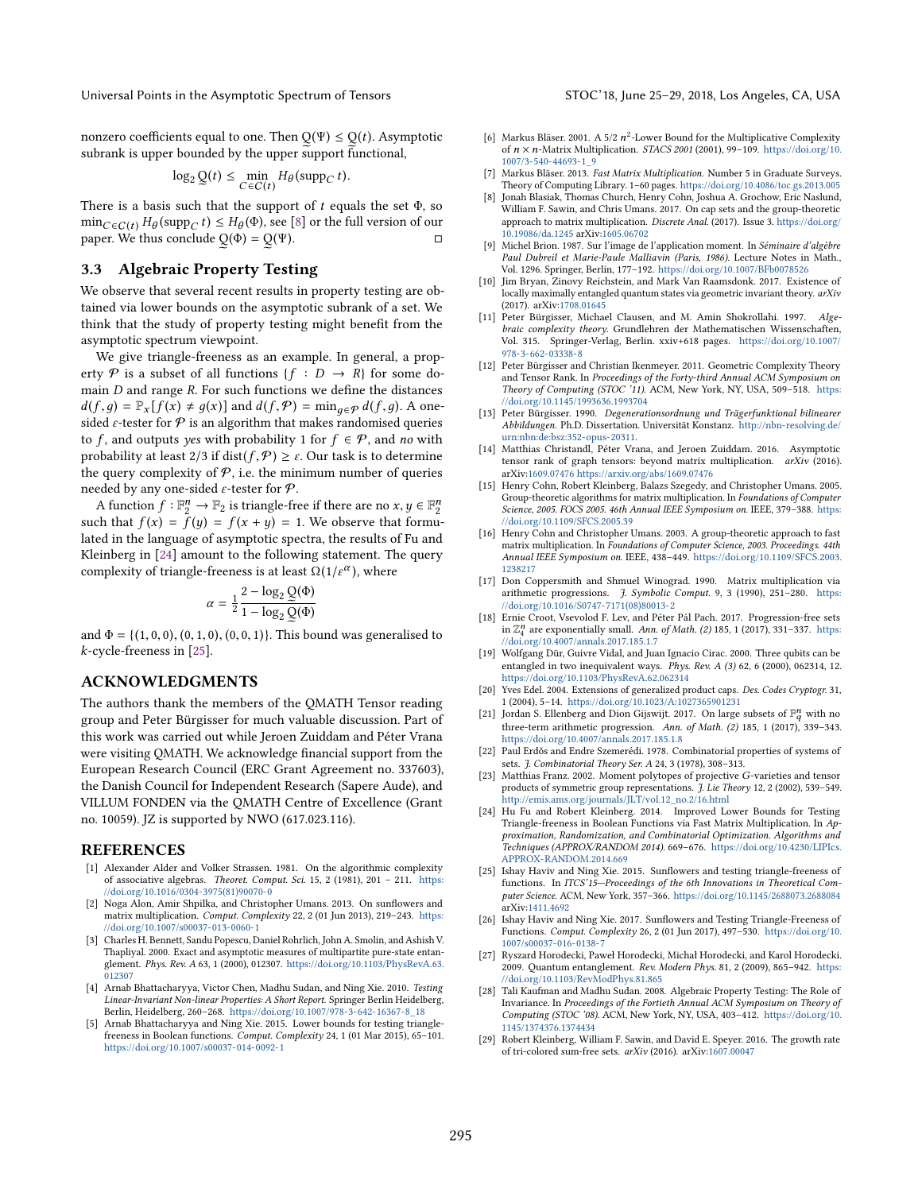Universal Points in the Asymptotic Spectrum of Tensors STOC'18, June 25-29, 2018, Los Angeles, CA, USA

nonzero coefficients equal to one. Then  $Q(\Psi) \leq Q(t)$ . Asymptotic<br>subrank is upper bounded by the upper support functional subrank is upper bounded by the upper support functional.

$$
\log_2 \mathcal{Q}(t) \le \min_{C \in C(t)} H_\theta(\mathrm{supp}_C t).
$$

There is a basis such that the support of t equals the set  $\Phi$ , so min  $\epsilon_{\text{max}} H_0(\text{supp } t) \leq H_0(\Phi)$  see [8] or the full version of our  $\min_{C \in C(t)} H_{\theta}(\text{supp}_C t) \leq H_{\theta}(\Phi)$ , see [\[8\]](#page-6-11) or the full version of our paper. We thus conclude  $O(\Phi) = O(\Psi)$ paper. We thus conclude  $Q(\Phi) = Q(\Psi).$ 

## 3.3 Algebraic Property Testing

We observe that several recent results in property testing are obtained via lower bounds on the asymptotic subrank of a set. We think that the study of property testing might benefit from the asymptotic spectrum viewpoint.

We give triangle-freeness as an example. In general, a property  $P$  is a subset of all functions  $\{f : D \to R\}$  for some domain  $D$  and range  $R$ . For such functions we define the distances  $d(f,g) = \mathbb{P}_x[f(x) \neq g(x)]$  and  $d(f,\mathcal{P}) = \min_{g \in \mathcal{P}} d(f,g)$ . A onesided  $\varepsilon$ -tester for  $P$  is an algorithm that makes randomised queries to f, and outputs yes with probability 1 for  $f \in \mathcal{P}$ , and no with probability at least 2/3 if dist( $f, P$ )  $\geq \varepsilon$ . Our task is to determine the query complexity of  $P$ , i.e. the minimum number of queries needed by any one-sided  $\varepsilon$ -tester for  $\mathcal{P}$ .

A function  $f : \mathbb{F}_2^n \to \mathbb{F}_2$  is triangle-free if there are no  $x, y \in \mathbb{F}_2^n$ <br>by that  $f(x) = f(y) = f(x + y) = 1$ . We observe that formula such that  $f(x) = \int f(y) = f(x + y) = 1$ . We observe that formulated in the language of asymptotic spectra, the results of Fu and Kleinberg in [\[24\]](#page-6-18) amount to the following statement. The query complexity of triangle-freeness is at least  $\Omega(1/\varepsilon^{\alpha})$ , where

$$
\alpha = \frac{1}{2} \frac{2 - \log_2 \mathcal{Q}(\Phi)}{1 - \log_2 \mathcal{Q}(\Phi)}
$$

and  $\Phi = \{(1, 0, 0), (0, 1, 0), (0, 0, 1)\}$ . This bound was generalised to k-cycle-freeness in [\[25\]](#page-6-27).

#### ACKNOWLEDGMENTS

The authors thank the members of the QMATH Tensor reading group and Peter Bürgisser for much valuable discussion. Part of this work was carried out while Jeroen Zuiddam and Péter Vrana were visiting QMATH. We acknowledge financial support from the European Research Council (ERC Grant Agreement no. 337603), the Danish Council for Independent Research (Sapere Aude), and VILLUM FONDEN via the QMATH Centre of Excellence (Grant no. 10059). JZ is supported by NWO (617.023.116).

#### REFERENCES

- <span id="page-6-0"></span>[1] Alexander Alder and Volker Strassen. 1981. On the algorithmic complexity of associative algebras. Theoret. Comput. Sci. 15, 2 (1981), 201 – 211. [https:](https://doi.org/10.1016/0304-3975(81)90070-0) [//doi.org/10.1016/0304-3975\(81\)90070-0](https://doi.org/10.1016/0304-3975(81)90070-0)
- <span id="page-6-10"></span>[2] Noga Alon, Amir Shpilka, and Christopher Umans. 2013. On sunflowers and matrix multiplication. Comput. Complexity 22, 2 (01 Jun 2013), 219–243. [https:](https://doi.org/10.1007/s00037-013-0060-1) [//doi.org/10.1007/s00037-013-0060-1](https://doi.org/10.1007/s00037-013-0060-1)
- <span id="page-6-7"></span>[3] Charles H. Bennett, Sandu Popescu, Daniel Rohrlich, John A. Smolin, and Ashish V. Thapliyal. 2000. Exact and asymptotic measures of multipartite pure-state entanglement. Phys. Rev. A 63, 1 (2000), 012307. [https://doi.org/10.1103/PhysRevA.63.](https://doi.org/10.1103/PhysRevA.63.012307) [012307](https://doi.org/10.1103/PhysRevA.63.012307)
- <span id="page-6-16"></span>[4] Arnab Bhattacharyya, Victor Chen, Madhu Sudan, and Ning Xie. 2010. Testing Linear-Invariant Non-linear Properties: A Short Report. Springer Berlin Heidelberg, Berlin, Heidelberg, 260–268. [https://doi.org/10.1007/978-3-642-16367-8\\_18](https://doi.org/10.1007/978-3-642-16367-8_18)
- <span id="page-6-17"></span>Arnab Bhattacharyya and Ning Xie. 2015. Lower bounds for testing trianglefreeness in Boolean functions. Comput. Complexity 24, 1 (01 Mar 2015), 65–101. <https://doi.org/10.1007/s00037-014-0092-1>
- <span id="page-6-1"></span>[6] Markus Bläser. 2001. A 5/2  $n^2$ -Lower Bound for the Multiplicative Complexity of  $n \times n$ -Matrix Multiplication  $STACS 2001 (2001) 99-109$  https://doi.org/10 of  $n \times n$ -Matrix Multiplication. STACS 2001 (2001), 99-109. [https://doi.org/10.](https://doi.org/10.1007/3-540-44693-1_9) [1007/3-540-44693-1\\_9](https://doi.org/10.1007/3-540-44693-1_9)
- <span id="page-6-5"></span>[7] Markus Bläser. 2013. Fast Matrix Multiplication. Number 5 in Graduate Surveys. Theory of Computing Library. 1–60 pages. <https://doi.org/10.4086/toc.gs.2013.005>
- <span id="page-6-11"></span>[8] Jonah Blasiak, Thomas Church, Henry Cohn, Joshua A. Grochow, Eric Naslund, William F. Sawin, and Chris Umans. 2017. On cap sets and the group-theoretic approach to matrix multiplication. Discrete Anal. (2017). Issue 3. [https://doi.org/](https://doi.org/10.19086/da.1245) [10.19086/da.1245](https://doi.org/10.19086/da.1245) arXiv[:1605.06702](http://arxiv.org/abs/1605.06702)
- <span id="page-6-23"></span>[9] Michel Brion. 1987. Sur l'image de l'application moment. In Séminaire d'algèbre Paul Dubreil et Marie-Paule Malliavin (Paris, 1986). Lecture Notes in Math., Vol. 1296. Springer, Berlin, 177–192. <https://doi.org/10.1007/BFb0078526>
- <span id="page-6-25"></span>[10] Jim Bryan, Zinovy Reichstein, and Mark Van Raamsdonk. 2017. Existence of locally maximally entangled quantum states via geometric invariant theory. arXiv (2017). arXiv[:1708.01645](http://arxiv.org/abs/1708.01645)
- <span id="page-6-6"></span>[11] Peter Bürgisser, Michael Clausen, and M. Amin Shokrollahi. 1997. Algebraic complexity theory. Grundlehren der Mathematischen Wissenschaften, Vol. 315. Springer-Verlag, Berlin. xxiv+618 pages. [https://doi.org/10.1007/](https://doi.org/10.1007/978-3-662-03338-8) [978-3-662-03338-8](https://doi.org/10.1007/978-3-662-03338-8)
- <span id="page-6-2"></span>[12] Peter Bürgisser and Christian Ikenmeyer. 2011. Geometric Complexity Theory and Tensor Rank. In Proceedings of the Forty-third Annual ACM Symposium on Theory of Computing (STOC '11). ACM, New York, NY, USA, 509-518. [https:](https://doi.org/10.1145/1993636.1993704) [//doi.org/10.1145/1993636.1993704](https://doi.org/10.1145/1993636.1993704)
- <span id="page-6-21"></span>[13] Peter Bürgisser. 1990. Degenerationsordnung und Trägerfunktional bilinearer Abbildungen. Ph.D. Dissertation. Universität Konstanz. [http://nbn-resolving.de/](http://nbn-resolving.de/urn:nbn:de:bsz:352-opus-20311) [urn:nbn:de:bsz:352-opus-20311.](http://nbn-resolving.de/urn:nbn:de:bsz:352-opus-20311)
- <span id="page-6-22"></span>[14] Matthias Christandl, Péter Vrana, and Jeroen Zuiddam. 2016. Asymptotic tensor rank of graph tensors: beyond matrix multiplication. arXiv (2016). arXiv[:1609.07476](http://arxiv.org/abs/1609.07476) <https://arxiv.org/abs/1609.07476>
- <span id="page-6-3"></span>[15] Henry Cohn, Robert Kleinberg, Balazs Szegedy, and Christopher Umans. 2005. Group-theoretic algorithms for matrix multiplication. In Foundations of Computer Science, 2005. FOCS 2005. 46th Annual IEEE Symposium on. IEEE, 379-388. [https:](https://doi.org/10.1109/SFCS.2005.39) [//doi.org/10.1109/SFCS.2005.39](https://doi.org/10.1109/SFCS.2005.39)
- [16] Henry Cohn and Christopher Umans. 2003. A group-theoretic approach to fast matrix multiplication. In Foundations of Computer Science, 2003. Proceedings, 44th Annual IEEE Symposium on. IEEE, 438–449. [https://doi.org/10.1109/SFCS.2003.](https://doi.org/10.1109/SFCS.2003.1238217) [1238217](https://doi.org/10.1109/SFCS.2003.1238217)
- <span id="page-6-4"></span>[17] Don Coppersmith and Shmuel Winograd. 1990. Matrix multiplication via arithmetic progressions. J. Symbolic Comput. 9, 3 (1990), 251–280. [https:](https://doi.org/10.1016/S0747-7171(08)80013-2) [//doi.org/10.1016/S0747-7171\(08\)80013-2](https://doi.org/10.1016/S0747-7171(08)80013-2)
- <span id="page-6-12"></span>[18] Ernie Croot, Vsevolod F. Lev, and Péter Pál Pach. 2017. Progression-free sets in  $\mathbb{Z}_4^n$  are exponentially small. Ann. of Math. (2) 185, 1 (2017), 331–337. [https:](https://doi.org/10.4007/annals.2017.185.1.7) [//doi.org/10.4007/annals.2017.185.1.7](https://doi.org/10.4007/annals.2017.185.1.7)
- <span id="page-6-8"></span>[19] Wolfgang Dür, Guivre Vidal, and Juan Ignacio Cirac. 2000. Three qubits can be entangled in two inequivalent ways. Phys. Rev. A (3) 62, 6 (2000), 062314, 12. <https://doi.org/10.1103/PhysRevA.62.062314>
- <span id="page-6-13"></span>[20] Yves Edel. 2004. Extensions of generalized product caps. Des. Codes Cryptogr. 31, 1 (2004), 5–14. <https://doi.org/10.1023/A:1027365901231>
- <span id="page-6-14"></span>[21] Jordan S. Ellenberg and Dion Gijswijt. 2017. On large subsets of  $\mathbb{F}_q^n$  with no<br>three-term exitimatic progression. Ann of Math (2) 185, 1 (2017), 330–343 three-term arithmetic progression. Ann. of Math. (2) 185, 1 (2017), 339–343. <https://doi.org/10.4007/annals.2017.185.1.8>
- <span id="page-6-26"></span>[22] Paul Erdős and Endre Szemerédi. 1978. Combinatorial properties of systems of sets. J. Combinatorial Theory Ser. A 24, 3 (1978), 308-313.
- <span id="page-6-24"></span>[23] Matthias Franz. 2002. Moment polytopes of projective G-varieties and tensor products of symmetric group representations. J. *Lie Theory* 12, 2 (2002), 539–549.<br>[http://emis.ams.org/journals/JLT/vol.12\\_no.2/16.html](http://emis.ams.org/journals/JLT/vol.12_no.2/16.html)
- <span id="page-6-18"></span>[24] Hu Fu and Robert Kleinberg. 2014. Improved Lower Bounds for Testing Triangle-freeness in Boolean Functions via Fast Matrix Multiplication. In Approximation, Randomization, and Combinatorial Optimization. Algorithms and Techniques (APPROX/RANDOM 2014). 669–676. [https://doi.org/10.4230/LIPIcs.](https://doi.org/10.4230/LIPIcs.APPROX-RANDOM.2014.669) [APPROX-RANDOM.2014.669](https://doi.org/10.4230/LIPIcs.APPROX-RANDOM.2014.669)
- <span id="page-6-27"></span>[25] Ishay Haviv and Ning Xie. 2015. Sunflowers and testing triangle-freeness of functions. In ITCS'15—Proceedings of the 6th Innovations in Theoretical Computer Science. ACM, New York, 357–366. <https://doi.org/10.1145/2688073.2688084> arXiv[:1411.4692](http://arxiv.org/abs/1411.4692)
- <span id="page-6-19"></span>[26] Ishay Haviv and Ning Xie. 2017. Sunflowers and Testing Triangle-Freeness of Functions. Comput. Complexity 26, 2 (01 Jun 2017), 497–530. [https://doi.org/10.](https://doi.org/10.1007/s00037-016-0138-7) [1007/s00037-016-0138-7](https://doi.org/10.1007/s00037-016-0138-7)
- <span id="page-6-9"></span>[27] Ryszard Horodecki, Paweł Horodecki, Michał Horodecki, and Karol Horodecki. 2009. Quantum entanglement. Rev. Modern Phys. 81, 2 (2009), 865–942. [https:](https://doi.org/10.1103/RevModPhys.81.865) [//doi.org/10.1103/RevModPhys.81.865](https://doi.org/10.1103/RevModPhys.81.865)
- <span id="page-6-20"></span>[28] Tali Kaufman and Madhu Sudan. 2008. Algebraic Property Testing: The Role of Invariance. In Proceedings of the Fortieth Annual ACM Symposium on Theory of Computing (STOC '08). ACM, New York, NY, USA, 403–412. [https://doi.org/10.](https://doi.org/10.1145/1374376.1374434) [1145/1374376.1374434](https://doi.org/10.1145/1374376.1374434)
- <span id="page-6-15"></span>[29] Robert Kleinberg, William F. Sawin, and David E. Speyer. 2016. The growth rate of tri-colored sum-free sets. arXiv (2016). arXiv[:1607.00047](http://arxiv.org/abs/1607.00047)